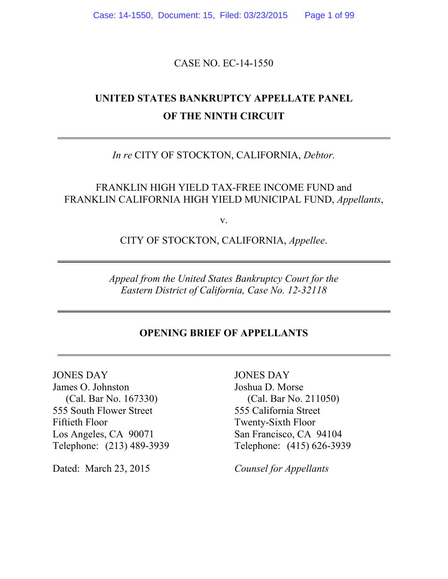Case: 14-1550, Document: 15, Filed: 03/23/2015 Page 1 of 99

CASE NO. EC-14-1550

# **UNITED STATES BANKRUPTCY APPELLATE PANEL OF THE NINTH CIRCUIT**

*In re* CITY OF STOCKTON, CALIFORNIA, *Debtor.*

FRANKLIN HIGH YIELD TAX-FREE INCOME FUND and FRANKLIN CALIFORNIA HIGH YIELD MUNICIPAL FUND, *Appellants*,

v.

CITY OF STOCKTON, CALIFORNIA, *Appellee*.

*Appeal from the United States Bankruptcy Court for the Eastern District of California, Case No. 12-32118*

#### **OPENING BRIEF OF APPELLANTS**

JONES DAY James O. Johnston (Cal. Bar No. 167330) 555 South Flower Street Fiftieth Floor Los Angeles, CA 90071 Telephone: (213) 489-3939

Dated: March 23, 2015 *Counsel for Appellants*

JONES DAY Joshua D. Morse (Cal. Bar No. 211050) 555 California Street Twenty-Sixth Floor San Francisco, CA 94104 Telephone: (415) 626-3939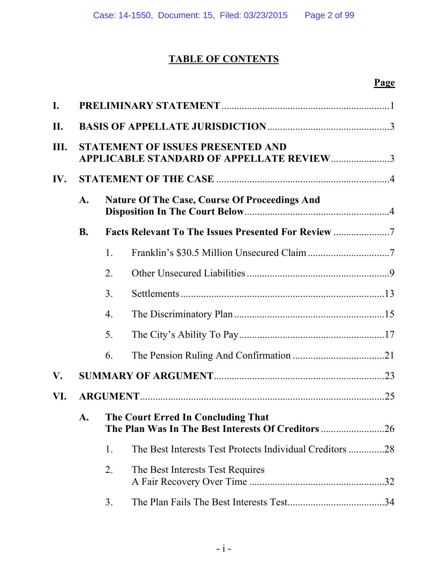### **TABLE OF CONTENTS**

| $\mathbf{I}$ . |                                                                                                            |                  |                                                           |  |
|----------------|------------------------------------------------------------------------------------------------------------|------------------|-----------------------------------------------------------|--|
| II.            |                                                                                                            |                  |                                                           |  |
| Ш.             | <b>STATEMENT OF ISSUES PRESENTED AND</b><br><b>APPLICABLE STANDARD OF APPELLATE REVIEW3</b>                |                  |                                                           |  |
| IV.            | <b>Nature Of The Case, Course Of Proceedings And</b><br>$\mathbf{A}$ .                                     |                  |                                                           |  |
|                |                                                                                                            |                  |                                                           |  |
|                | <b>B.</b>                                                                                                  |                  | <b>Facts Relevant To The Issues Presented For Review </b> |  |
|                |                                                                                                            | $\mathbf{1}$ .   |                                                           |  |
|                |                                                                                                            | 2.               |                                                           |  |
|                |                                                                                                            | 3 <sub>1</sub>   |                                                           |  |
|                |                                                                                                            | $\overline{4}$ . |                                                           |  |
|                |                                                                                                            | 5.               |                                                           |  |
|                |                                                                                                            | 6.               |                                                           |  |
| V.             |                                                                                                            |                  |                                                           |  |
| VI.            |                                                                                                            |                  |                                                           |  |
|                | The Court Erred In Concluding That<br>$\mathbf{A}$ .<br>The Plan Was In The Best Interests Of Creditors 26 |                  |                                                           |  |
|                |                                                                                                            | 1.               | The Best Interests Test Protects Individual Creditors 28  |  |
|                |                                                                                                            | 2.               | The Best Interests Test Requires                          |  |
|                |                                                                                                            | 3.               |                                                           |  |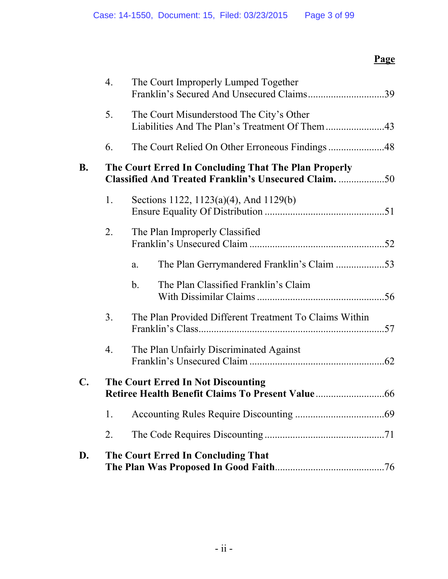|                | $\overline{4}$ . | The Court Improperly Lumped Together<br>Franklin's Secured And Unsecured Claims39                                    |  |
|----------------|------------------|----------------------------------------------------------------------------------------------------------------------|--|
|                | 5.               | The Court Misunderstood The City's Other                                                                             |  |
|                | 6.               |                                                                                                                      |  |
| <b>B.</b>      |                  | The Court Erred In Concluding That The Plan Properly<br><b>Classified And Treated Franklin's Unsecured Claim.</b> 50 |  |
|                | 1.               | Sections 1122, 1123(a)(4), And 1129(b)                                                                               |  |
|                | 2.               | The Plan Improperly Classified                                                                                       |  |
|                |                  | a.                                                                                                                   |  |
|                |                  | The Plan Classified Franklin's Claim<br>b <sub>1</sub>                                                               |  |
|                | 3 <sub>1</sub>   | The Plan Provided Different Treatment To Claims Within                                                               |  |
|                | 4.               | The Plan Unfairly Discriminated Against                                                                              |  |
| $\mathbf{C}$ . |                  | The Court Erred In Not Discounting                                                                                   |  |
|                | 1.               |                                                                                                                      |  |
|                | 2.               |                                                                                                                      |  |
| D.             |                  | The Court Erred In Concluding That                                                                                   |  |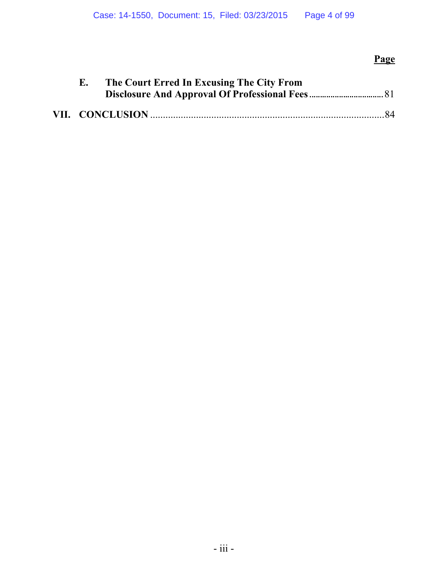| Е. | The Court Erred In Excusing The City From |  |
|----|-------------------------------------------|--|
|    |                                           |  |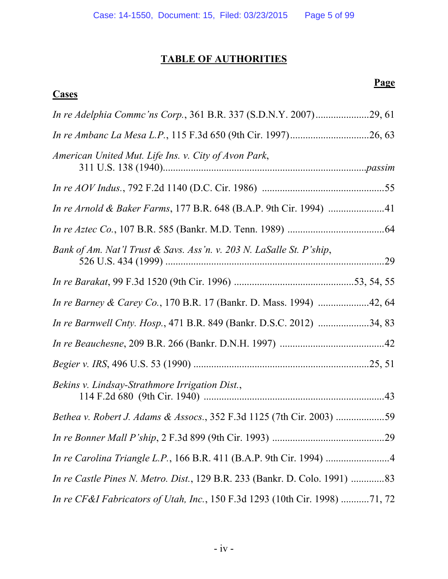### **TABLE OF AUTHORITIES**

### **Cases**

| American United Mut. Life Ins. v. City of Avon Park,                               |     |
|------------------------------------------------------------------------------------|-----|
|                                                                                    |     |
|                                                                                    |     |
|                                                                                    |     |
| Bank of Am. Nat'l Trust & Savs. Ass'n. v. 203 N. LaSalle St. P'ship,               | .29 |
|                                                                                    |     |
| <i>In re Barney &amp; Carey Co.</i> , 170 B.R. 17 (Bankr. D. Mass. 1994) 42, 64    |     |
| In re Barnwell Cnty. Hosp., 471 B.R. 849 (Bankr. D.S.C. 2012) 34, 83               |     |
|                                                                                    |     |
|                                                                                    |     |
| Bekins v. Lindsay-Strathmore Irrigation Dist.,                                     |     |
|                                                                                    |     |
|                                                                                    |     |
| In re Carolina Triangle L.P., 166 B.R. 411 (B.A.P. 9th Cir. 1994) 4                |     |
| <i>In re Castle Pines N. Metro. Dist.</i> , 129 B.R. 233 (Bankr. D. Colo. 1991) 83 |     |
| In re CF&I Fabricators of Utah, Inc., 150 F.3d 1293 (10th Cir. 1998) 71, 72        |     |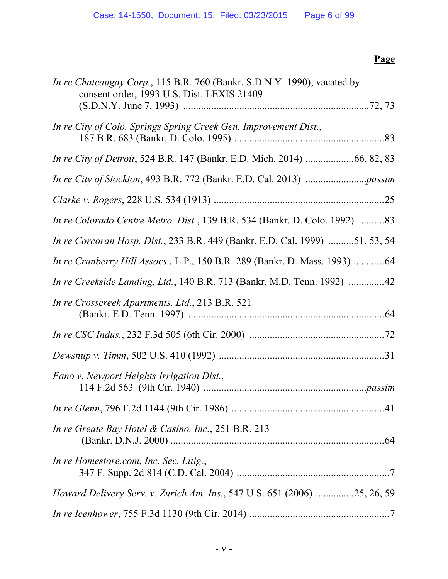| In re Chateaugay Corp., 115 B.R. 760 (Bankr. S.D.N.Y. 1990), vacated by<br>consent order, 1993 U.S. Dist. LEXIS 21409 |
|-----------------------------------------------------------------------------------------------------------------------|
| In re City of Colo. Springs Spring Creek Gen. Improvement Dist.,                                                      |
|                                                                                                                       |
|                                                                                                                       |
|                                                                                                                       |
| <i>In re Colorado Centre Metro. Dist., 139 B.R. 534 (Bankr. D. Colo. 1992) 83</i>                                     |
| In re Corcoran Hosp. Dist., 233 B.R. 449 (Bankr. E.D. Cal. 1999) 51, 53, 54                                           |
| In re Cranberry Hill Assocs., L.P., 150 B.R. 289 (Bankr. D. Mass. 1993) 64                                            |
| In re Creekside Landing, Ltd., 140 B.R. 713 (Bankr. M.D. Tenn. 1992) 42                                               |
| In re Crosscreek Apartments, Ltd., 213 B.R. 521                                                                       |
|                                                                                                                       |
|                                                                                                                       |
| Fano v. Newport Heights Irrigation Dist.,                                                                             |
|                                                                                                                       |
| In re Greate Bay Hotel & Casino, Inc., 251 B.R. 213                                                                   |
| In re Homestore.com, Inc. Sec. Litig.,                                                                                |
| <i>Howard Delivery Serv. v. Zurich Am. Ins.</i> , 547 U.S. 651 (2006) 25, 26, 59                                      |
|                                                                                                                       |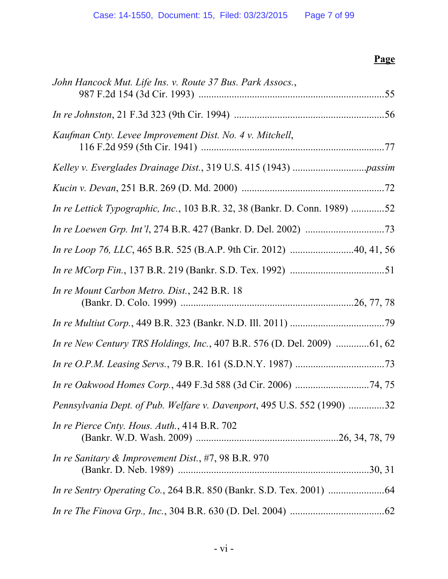| John Hancock Mut. Life Ins. v. Route 37 Bus. Park Assocs.,                 |  |
|----------------------------------------------------------------------------|--|
|                                                                            |  |
| Kaufman Cnty. Levee Improvement Dist. No. 4 v. Mitchell,                   |  |
|                                                                            |  |
|                                                                            |  |
| In re Lettick Typographic, Inc., 103 B.R. 32, 38 (Bankr. D. Conn. 1989) 52 |  |
|                                                                            |  |
| In re Loop 76, LLC, 465 B.R. 525 (B.A.P. 9th Cir. 2012) 40, 41, 56         |  |
|                                                                            |  |
| In re Mount Carbon Metro. Dist., 242 B.R. 18                               |  |
|                                                                            |  |
| In re New Century TRS Holdings, Inc., 407 B.R. 576 (D. Del. 2009) 61, 62   |  |
|                                                                            |  |
|                                                                            |  |
| Pennsylvania Dept. of Pub. Welfare v. Davenport, 495 U.S. 552 (1990) 32    |  |
| In re Pierce Cnty. Hous. Auth., 414 B.R. 702                               |  |
| In re Sanitary & Improvement Dist., #7, 98 B.R. 970                        |  |
|                                                                            |  |
|                                                                            |  |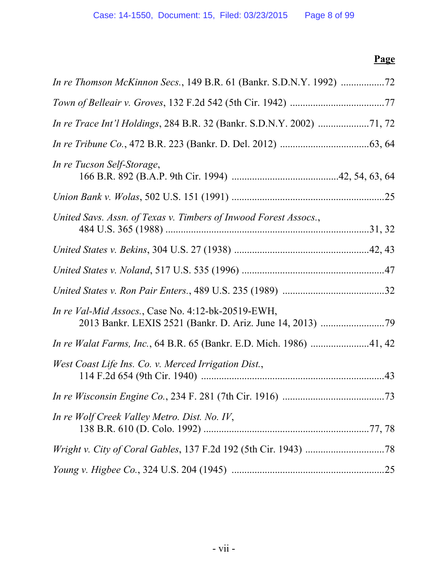| In re Tucson Self-Storage,                                                 |  |
|----------------------------------------------------------------------------|--|
|                                                                            |  |
| United Savs. Assn. of Texas v. Timbers of Inwood Forest Assocs.,           |  |
|                                                                            |  |
|                                                                            |  |
|                                                                            |  |
| In re Val-Mid Assocs., Case No. 4:12-bk-20519-EWH,                         |  |
| <i>In re Walat Farms, Inc., 64 B.R. 65 (Bankr. E.D. Mich. 1986) 41, 42</i> |  |
| West Coast Life Ins. Co. v. Merced Irrigation Dist.,                       |  |
|                                                                            |  |
| In re Wolf Creek Valley Metro. Dist. No. IV,                               |  |
|                                                                            |  |
|                                                                            |  |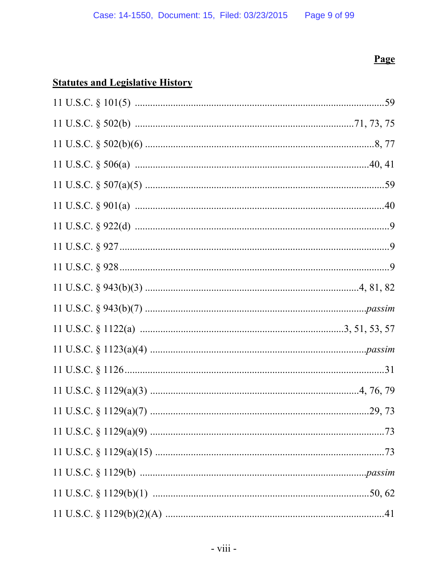## **Statutes and Legislative History**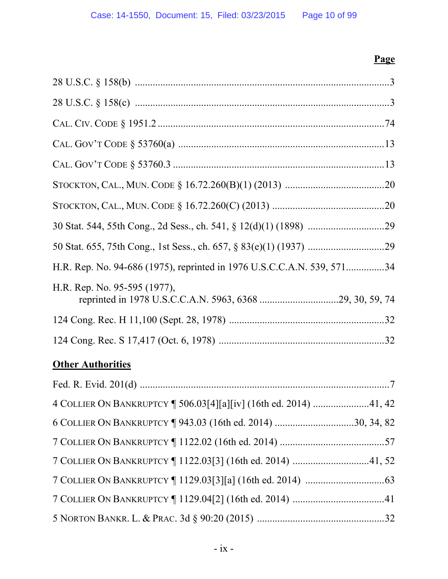| H.R. Rep. No. 94-686 (1975), reprinted in 1976 U.S.C.C.A.N. 539, 57134 |
|------------------------------------------------------------------------|
| H.R. Rep. No. 95-595 (1977),                                           |
|                                                                        |
|                                                                        |
| <b>Other Authorities</b>                                               |
|                                                                        |
| 4 COLLIER ON BANKRUPTCY   506.03[4][a][iv] (16th ed. 2014) 41, 42      |
| 6 COLLIER ON BANKRUPTCY   943.03 (16th ed. 2014) 30, 34, 82            |
|                                                                        |
| 7 COLLIER ON BANKRUPTCY   1122.03[3] (16th ed. 2014) 41, 52            |
|                                                                        |
|                                                                        |
|                                                                        |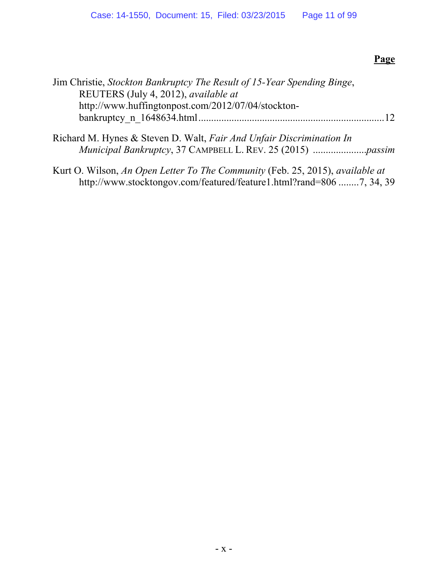| Jim Christie, Stockton Bankruptcy The Result of 15-Year Spending Binge,<br>REUTERS (July 4, 2012), available at |    |
|-----------------------------------------------------------------------------------------------------------------|----|
| http://www.huffingtonpost.com/2012/07/04/stockton-                                                              | 12 |
| Richard M. Hynes & Steven D. Walt, Fair And Unfair Discrimination In                                            |    |
|                                                                                                                 |    |
|                                                                                                                 |    |

Kurt O. Wilson, *An Open Letter To The Community* (Feb. 25, 2015), *available at* http://www.stocktongov.com/featured/feature1.html?rand=806 ........7, 34, 39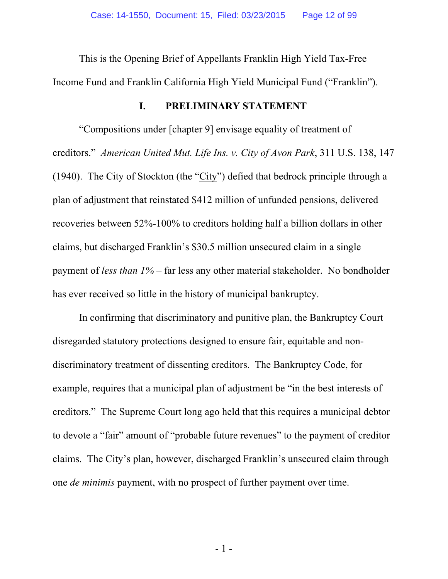This is the Opening Brief of Appellants Franklin High Yield Tax-Free Income Fund and Franklin California High Yield Municipal Fund ("Franklin").

#### **I. PRELIMINARY STATEMENT**

"Compositions under [chapter 9] envisage equality of treatment of creditors." *American United Mut. Life Ins. v. City of Avon Park*, 311 U.S. 138, 147 (1940). The City of Stockton (the "City") defied that bedrock principle through a plan of adjustment that reinstated \$412 million of unfunded pensions, delivered recoveries between 52%-100% to creditors holding half a billion dollars in other claims, but discharged Franklin's \$30.5 million unsecured claim in a single payment of *less than 1%* – far less any other material stakeholder. No bondholder has ever received so little in the history of municipal bankruptcy.

In confirming that discriminatory and punitive plan, the Bankruptcy Court disregarded statutory protections designed to ensure fair, equitable and nondiscriminatory treatment of dissenting creditors. The Bankruptcy Code, for example, requires that a municipal plan of adjustment be "in the best interests of creditors." The Supreme Court long ago held that this requires a municipal debtor to devote a "fair" amount of "probable future revenues" to the payment of creditor claims. The City's plan, however, discharged Franklin's unsecured claim through one *de minimis* payment, with no prospect of further payment over time.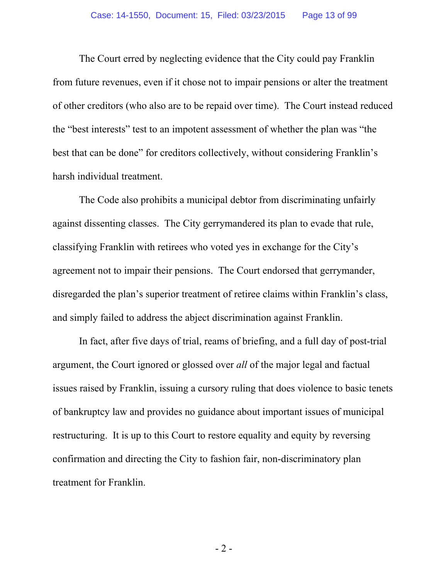The Court erred by neglecting evidence that the City could pay Franklin from future revenues, even if it chose not to impair pensions or alter the treatment of other creditors (who also are to be repaid over time). The Court instead reduced the "best interests" test to an impotent assessment of whether the plan was "the best that can be done" for creditors collectively, without considering Franklin's harsh individual treatment.

The Code also prohibits a municipal debtor from discriminating unfairly against dissenting classes. The City gerrymandered its plan to evade that rule, classifying Franklin with retirees who voted yes in exchange for the City's agreement not to impair their pensions. The Court endorsed that gerrymander, disregarded the plan's superior treatment of retiree claims within Franklin's class, and simply failed to address the abject discrimination against Franklin.

In fact, after five days of trial, reams of briefing, and a full day of post-trial argument, the Court ignored or glossed over *all* of the major legal and factual issues raised by Franklin, issuing a cursory ruling that does violence to basic tenets of bankruptcy law and provides no guidance about important issues of municipal restructuring. It is up to this Court to restore equality and equity by reversing confirmation and directing the City to fashion fair, non-discriminatory plan treatment for Franklin.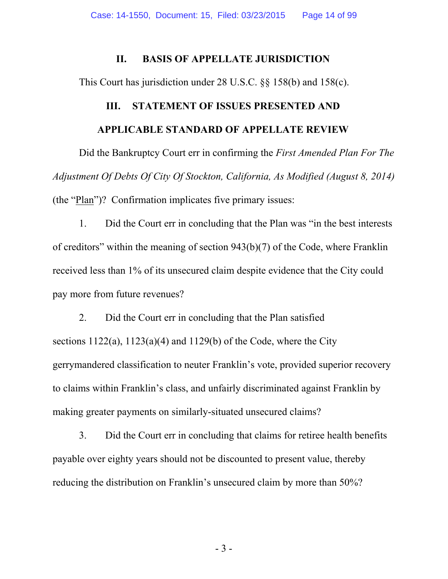#### **II. BASIS OF APPELLATE JURISDICTION**

This Court has jurisdiction under 28 U.S.C. §§ 158(b) and 158(c).

# **III. STATEMENT OF ISSUES PRESENTED AND APPLICABLE STANDARD OF APPELLATE REVIEW**

Did the Bankruptcy Court err in confirming the *First Amended Plan For The Adjustment Of Debts Of City Of Stockton, California, As Modified (August 8, 2014)*  (the "Plan")? Confirmation implicates five primary issues:

1. Did the Court err in concluding that the Plan was "in the best interests of creditors" within the meaning of section 943(b)(7) of the Code, where Franklin received less than 1% of its unsecured claim despite evidence that the City could pay more from future revenues?

2. Did the Court err in concluding that the Plan satisfied sections  $1122(a)$ ,  $1123(a)(4)$  and  $1129(b)$  of the Code, where the City gerrymandered classification to neuter Franklin's vote, provided superior recovery to claims within Franklin's class, and unfairly discriminated against Franklin by making greater payments on similarly-situated unsecured claims?

3. Did the Court err in concluding that claims for retiree health benefits payable over eighty years should not be discounted to present value, thereby reducing the distribution on Franklin's unsecured claim by more than 50%?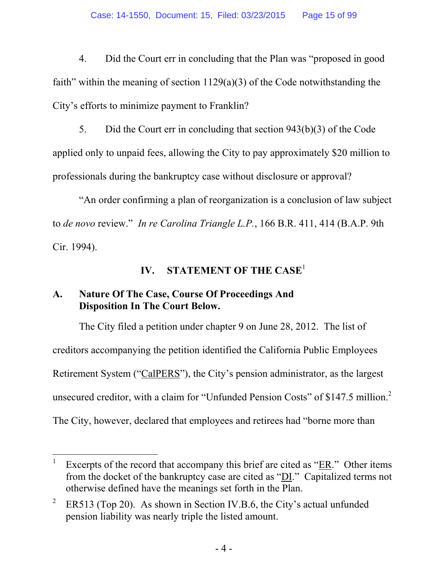4. Did the Court err in concluding that the Plan was "proposed in good faith" within the meaning of section  $1129(a)(3)$  of the Code notwithstanding the City's efforts to minimize payment to Franklin?

5. Did the Court err in concluding that section 943(b)(3) of the Code applied only to unpaid fees, allowing the City to pay approximately \$20 million to professionals during the bankruptcy case without disclosure or approval?

"An order confirming a plan of reorganization is a conclusion of law subject to *de novo* review." *In re Carolina Triangle L.P.*, 166 B.R. 411, 414 (B.A.P. 9th Cir. 1994).

### **IV. STATEMENT OF THE CASE**<sup>1</sup>

### **A. Nature Of The Case, Course Of Proceedings And Disposition In The Court Below.**

The City filed a petition under chapter 9 on June 28, 2012. The list of creditors accompanying the petition identified the California Public Employees Retirement System ("CalPERS"), the City's pension administrator, as the largest unsecured creditor, with a claim for "Unfunded Pension Costs" of \$147.5 million. $2$ The City, however, declared that employees and retirees had "borne more than

 $\overline{a}$ 1 Excerpts of the record that accompany this brief are cited as "ER." Other items from the docket of the bankruptcy case are cited as "DI." Capitalized terms not otherwise defined have the meanings set forth in the Plan.

<sup>2</sup> ER513 (Top 20). As shown in Section IV.B.6, the City's actual unfunded pension liability was nearly triple the listed amount.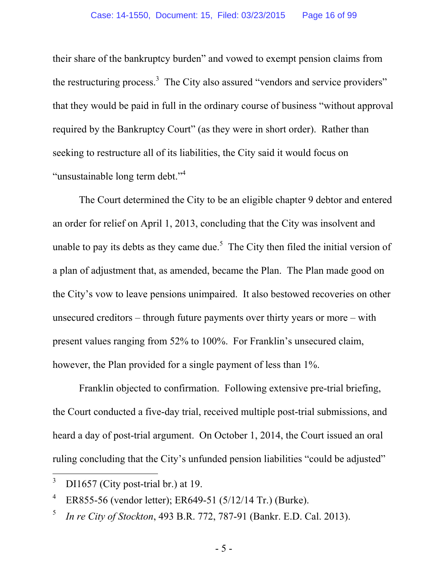their share of the bankruptcy burden" and vowed to exempt pension claims from the restructuring process.<sup>3</sup> The City also assured "vendors and service providers" that they would be paid in full in the ordinary course of business "without approval required by the Bankruptcy Court" (as they were in short order). Rather than seeking to restructure all of its liabilities, the City said it would focus on "unsustainable long term debt."<sup>4</sup>

The Court determined the City to be an eligible chapter 9 debtor and entered an order for relief on April 1, 2013, concluding that the City was insolvent and unable to pay its debts as they came due.<sup>5</sup> The City then filed the initial version of a plan of adjustment that, as amended, became the Plan. The Plan made good on the City's vow to leave pensions unimpaired. It also bestowed recoveries on other unsecured creditors – through future payments over thirty years or more – with present values ranging from 52% to 100%. For Franklin's unsecured claim, however, the Plan provided for a single payment of less than 1%.

Franklin objected to confirmation. Following extensive pre-trial briefing, the Court conducted a five-day trial, received multiple post-trial submissions, and heard a day of post-trial argument. On October 1, 2014, the Court issued an oral ruling concluding that the City's unfunded pension liabilities "could be adjusted"

<sup>3</sup> DI1657 (City post-trial br.) at 19.

<sup>4</sup> ER855-56 (vendor letter); ER649-51 (5/12/14 Tr.) (Burke).

<sup>5</sup> *In re City of Stockton*, 493 B.R. 772, 787-91 (Bankr. E.D. Cal. 2013).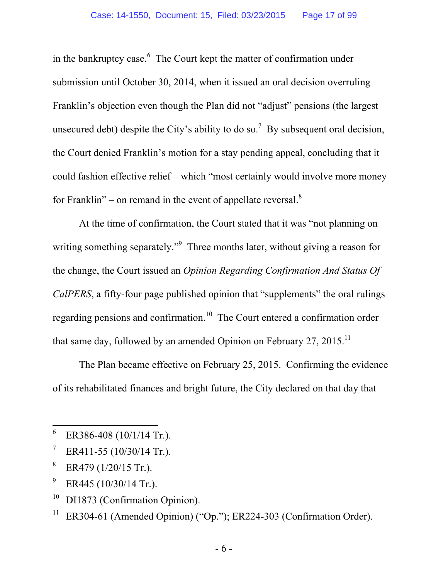in the bankruptcy case.<sup>6</sup> The Court kept the matter of confirmation under submission until October 30, 2014, when it issued an oral decision overruling Franklin's objection even though the Plan did not "adjust" pensions (the largest unsecured debt) despite the City's ability to do so.<sup>7</sup> By subsequent oral decision, the Court denied Franklin's motion for a stay pending appeal, concluding that it could fashion effective relief – which "most certainly would involve more money for Franklin" – on remand in the event of appellate reversal. $8$ 

At the time of confirmation, the Court stated that it was "not planning on writing something separately."<sup>9</sup> Three months later, without giving a reason for the change, the Court issued an *Opinion Regarding Confirmation And Status Of CalPERS*, a fifty-four page published opinion that "supplements" the oral rulings regarding pensions and confirmation.<sup>10</sup> The Court entered a confirmation order that same day, followed by an amended Opinion on February 27, 2015.<sup>11</sup>

The Plan became effective on February 25, 2015. Confirming the evidence of its rehabilitated finances and bright future, the City declared on that day that

 $\overline{a}$ 

9 ER445 (10/30/14 Tr.).

<sup>6</sup> ER386-408 (10/1/14 Tr.).

<sup>7</sup> ER411-55 (10/30/14 Tr.).

<sup>8</sup> ER479 (1/20/15 Tr.).

 $10$  DI1873 (Confirmation Opinion).

<sup>&</sup>lt;sup>11</sup> ER304-61 (Amended Opinion) (" $\underline{Op}$ "); ER224-303 (Confirmation Order).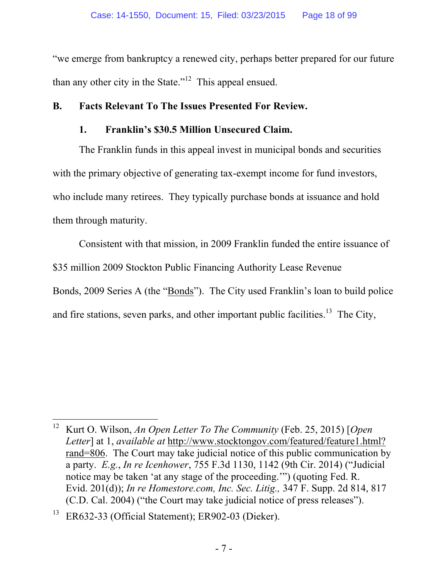"we emerge from bankruptcy a renewed city, perhaps better prepared for our future than any other city in the State."<sup>12</sup> This appeal ensued.

### **B. Facts Relevant To The Issues Presented For Review.**

### **1. Franklin's \$30.5 Million Unsecured Claim.**

The Franklin funds in this appeal invest in municipal bonds and securities with the primary objective of generating tax-exempt income for fund investors, who include many retirees. They typically purchase bonds at issuance and hold them through maturity.

Consistent with that mission, in 2009 Franklin funded the entire issuance of \$35 million 2009 Stockton Public Financing Authority Lease Revenue Bonds, 2009 Series A (the "Bonds"). The City used Franklin's loan to build police and fire stations, seven parks, and other important public facilities.<sup>13</sup> The City,

 $\overline{a}$ 12 Kurt O. Wilson, *An Open Letter To The Community* (Feb. 25, 2015) [*Open Letter*] at 1, *available at* http://www.stocktongov.com/featured/feature1.html? rand=806. The Court may take judicial notice of this public communication by a party. *E.g.*, *In re Icenhower*, 755 F.3d 1130, 1142 (9th Cir. 2014) ("Judicial notice may be taken 'at any stage of the proceeding.'") (quoting Fed. R. Evid. 201(d)); *In re Homestore.com, Inc. Sec. Litig.,* 347 F. Supp. 2d 814, 817 (C.D. Cal. 2004) ("the Court may take judicial notice of press releases").

ER632-33 (Official Statement); ER902-03 (Dieker).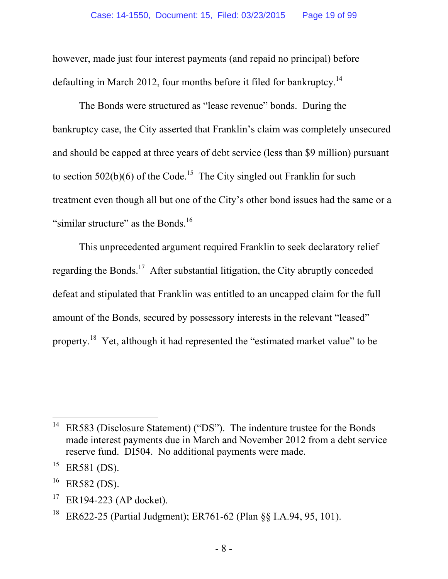however, made just four interest payments (and repaid no principal) before defaulting in March 2012, four months before it filed for bankruptcy.<sup>14</sup>

The Bonds were structured as "lease revenue" bonds. During the bankruptcy case, the City asserted that Franklin's claim was completely unsecured and should be capped at three years of debt service (less than \$9 million) pursuant to section  $502(b)(6)$  of the Code.<sup>15</sup> The City singled out Franklin for such treatment even though all but one of the City's other bond issues had the same or a "similar structure" as the Bonds.<sup>16</sup>

This unprecedented argument required Franklin to seek declaratory relief regarding the Bonds.<sup>17</sup> After substantial litigation, the City abruptly conceded defeat and stipulated that Franklin was entitled to an uncapped claim for the full amount of the Bonds, secured by possessory interests in the relevant "leased" property.<sup>18</sup> Yet, although it had represented the "estimated market value" to be

<sup>&</sup>lt;sup>14</sup> ER583 (Disclosure Statement) ("DS"). The indenture trustee for the Bonds made interest payments due in March and November 2012 from a debt service reserve fund. DI504. No additional payments were made.

<sup>&</sup>lt;sup>15</sup> ER581 (DS).

 $^{16}$  ER582 (DS).

<sup>&</sup>lt;sup>17</sup> ER194-223 (AP docket).

<sup>&</sup>lt;sup>18</sup> ER622-25 (Partial Judgment); ER761-62 (Plan  $\S$ § I.A.94, 95, 101).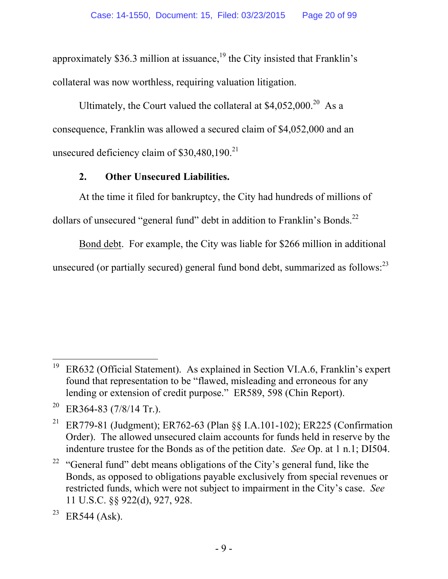approximately \$36.3 million at issuance,<sup>19</sup> the City insisted that Franklin's collateral was now worthless, requiring valuation litigation.

Ultimately, the Court valued the collateral at  $$4.052.000<sup>20</sup>$  As a consequence, Franklin was allowed a secured claim of \$4,052,000 and an unsecured deficiency claim of  $$30,480,190.<sup>21</sup>$ 

### **2. Other Unsecured Liabilities.**

At the time it filed for bankruptcy, the City had hundreds of millions of dollars of unsecured "general fund" debt in addition to Franklin's Bonds.<sup>22</sup>

Bond debt. For example, the City was liable for \$266 million in additional unsecured (or partially secured) general fund bond debt, summarized as follows:<sup>23</sup>

<sup>19</sup> 19 ER632 (Official Statement). As explained in Section VI.A.6, Franklin's expert found that representation to be "flawed, misleading and erroneous for any lending or extension of credit purpose." ER589, 598 (Chin Report).

<sup>&</sup>lt;sup>20</sup> ER364-83 (7/8/14 Tr.).

<sup>&</sup>lt;sup>21</sup> ER779-81 (Judgment); ER762-63 (Plan §§ I.A.101-102); ER225 (Confirmation Order). The allowed unsecured claim accounts for funds held in reserve by the indenture trustee for the Bonds as of the petition date. *See* Op. at 1 n.1; DI504.

<sup>&</sup>lt;sup>22</sup> "General fund" debt means obligations of the City's general fund, like the Bonds, as opposed to obligations payable exclusively from special revenues or restricted funds, which were not subject to impairment in the City's case. *See* 11 U.S.C. §§ 922(d), 927, 928.

<sup>&</sup>lt;sup>23</sup> ER544 (Ask).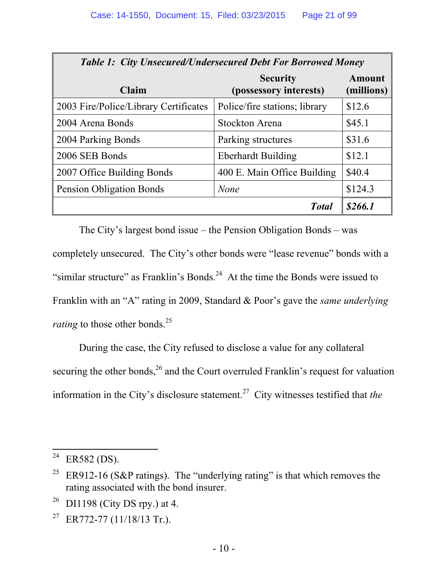| <b>Table 1: City Unsecured/Undersecured Debt For Borrowed Money</b> |                                           |                             |  |
|---------------------------------------------------------------------|-------------------------------------------|-----------------------------|--|
| Claim                                                               | <b>Security</b><br>(possessory interests) | <b>Amount</b><br>(millions) |  |
| 2003 Fire/Police/Library Certificates                               | Police/fire stations; library             | \$12.6                      |  |
| 2004 Arena Bonds                                                    | Stockton Arena                            | \$45.1                      |  |
| 2004 Parking Bonds                                                  | Parking structures                        | \$31.6                      |  |
| 2006 SEB Bonds                                                      | <b>Eberhardt Building</b>                 | \$12.1                      |  |
| 2007 Office Building Bonds                                          | 400 E. Main Office Building               | \$40.4                      |  |
| Pension Obligation Bonds                                            | <b>None</b>                               | \$124.3                     |  |
|                                                                     | <b>T</b> otal                             | \$266.1                     |  |

The City's largest bond issue – the Pension Obligation Bonds – was completely unsecured. The City's other bonds were "lease revenue" bonds with a "similar structure" as Franklin's Bonds.<sup>24</sup> At the time the Bonds were issued to Franklin with an "A" rating in 2009, Standard & Poor's gave the *same underlying rating* to those other bonds.<sup>25</sup>

During the case, the City refused to disclose a value for any collateral securing the other bonds,  $^{26}$  and the Court overruled Franklin's request for valuation information in the City's disclosure statement.27 City witnesses testified that *the* 

<sup>24</sup>  $ER582$  (DS).

<sup>&</sup>lt;sup>25</sup> ER912-16 (S&P ratings). The "underlying rating" is that which removes the rating associated with the bond insurer.

 $26$  DI1198 (City DS rpy.) at 4.

<sup>&</sup>lt;sup>27</sup> ER772-77 (11/18/13 Tr.).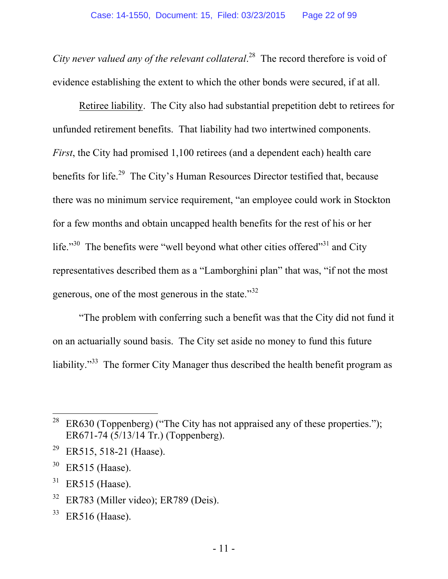*City never valued any of the relevant collateral*. 28 The record therefore is void of evidence establishing the extent to which the other bonds were secured, if at all.

Retiree liability.The City also had substantial prepetition debt to retirees for unfunded retirement benefits. That liability had two intertwined components. *First*, the City had promised 1,100 retirees (and a dependent each) health care benefits for life.<sup>29</sup> The City's Human Resources Director testified that, because there was no minimum service requirement, "an employee could work in Stockton for a few months and obtain uncapped health benefits for the rest of his or her life."<sup>30</sup> The benefits were "well beyond what other cities offered"<sup>31</sup> and City representatives described them as a "Lamborghini plan" that was, "if not the most generous, one of the most generous in the state."32

"The problem with conferring such a benefit was that the City did not fund it on an actuarially sound basis. The City set aside no money to fund this future liability."<sup>33</sup> The former City Manager thus described the health benefit program as

<sup>&</sup>lt;sup>28</sup> ER630 (Toppenberg) ("The City has not appraised any of these properties."); ER671-74 (5/13/14 Tr.) (Toppenberg).

<sup>&</sup>lt;sup>29</sup> ER515, 518-21 (Haase).

 $30$  ER515 (Haase).

 $31$  ER515 (Haase).

 $32$  ER783 (Miller video); ER789 (Deis).

 $33$  ER516 (Haase).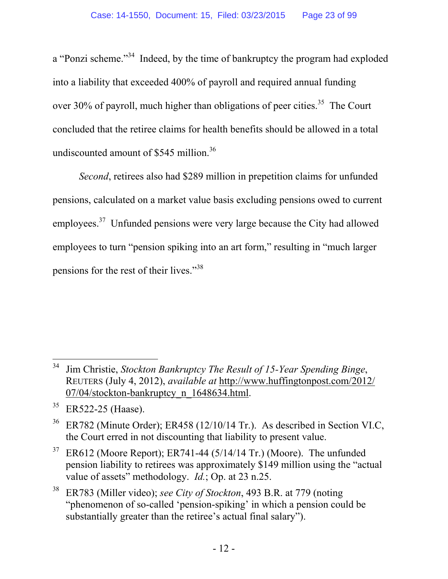a "Ponzi scheme."34 Indeed, by the time of bankruptcy the program had exploded into a liability that exceeded 400% of payroll and required annual funding over 30% of payroll, much higher than obligations of peer cities.<sup>35</sup> The Court concluded that the retiree claims for health benefits should be allowed in a total undiscounted amount of \$545 million.<sup>36</sup>

*Second*, retirees also had \$289 million in prepetition claims for unfunded pensions, calculated on a market value basis excluding pensions owed to current employees.<sup>37</sup> Unfunded pensions were very large because the City had allowed employees to turn "pension spiking into an art form," resulting in "much larger pensions for the rest of their lives."38

 $\overline{a}$ 34 Jim Christie, *Stockton Bankruptcy The Result of 15-Year Spending Binge*, REUTERS (July 4, 2012), *available at* http://www.huffingtonpost.com/2012/ 07/04/stockton-bankruptcy\_n\_1648634.html.

<sup>35</sup> ER522-25 (Haase).

ER782 (Minute Order); ER458 (12/10/14 Tr.). As described in Section VI.C, the Court erred in not discounting that liability to present value.

 $37$  ER612 (Moore Report); ER741-44 (5/14/14 Tr.) (Moore). The unfunded pension liability to retirees was approximately \$149 million using the "actual value of assets" methodology. *Id.*; Op. at 23 n.25.

<sup>38</sup> ER783 (Miller video); *see City of Stockton*, 493 B.R. at 779 (noting "phenomenon of so-called 'pension-spiking' in which a pension could be substantially greater than the retiree's actual final salary").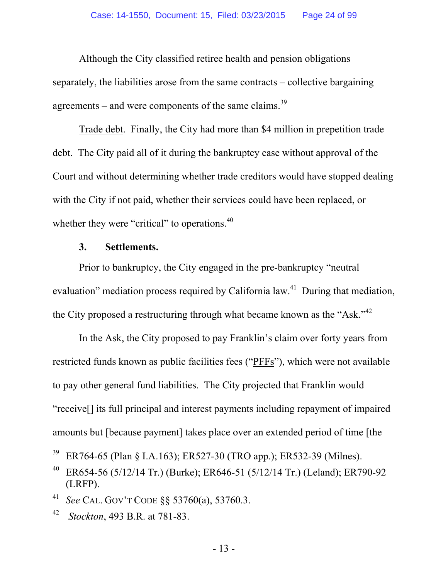Although the City classified retiree health and pension obligations separately, the liabilities arose from the same contracts – collective bargaining agreements – and were components of the same claims.<sup>39</sup>

Trade debt. Finally, the City had more than \$4 million in prepetition trade debt. The City paid all of it during the bankruptcy case without approval of the Court and without determining whether trade creditors would have stopped dealing with the City if not paid, whether their services could have been replaced, or whether they were "critical" to operations.<sup>40</sup>

#### **3. Settlements.**

Prior to bankruptcy, the City engaged in the pre-bankruptcy "neutral evaluation" mediation process required by California law.<sup>41</sup> During that mediation, the City proposed a restructuring through what became known as the "Ask."<sup>42</sup>

In the Ask, the City proposed to pay Franklin's claim over forty years from restricted funds known as public facilities fees ("PFFs"), which were not available to pay other general fund liabilities. The City projected that Franklin would "receive[] its full principal and interest payments including repayment of impaired amounts but [because payment] takes place over an extended period of time [the

<sup>&</sup>lt;sup>39</sup> ER764-65 (Plan § I.A.163); ER527-30 (TRO app.); ER532-39 (Milnes).

<sup>&</sup>lt;sup>40</sup> ER654-56 (5/12/14 Tr.) (Burke); ER646-51 (5/12/14 Tr.) (Leland); ER790-92 (LRFP).

<sup>41</sup> *See* CAL. GOV'T CODE §§ 53760(a), 53760.3.

<sup>42</sup> *Stockton*, 493 B.R. at 781-83.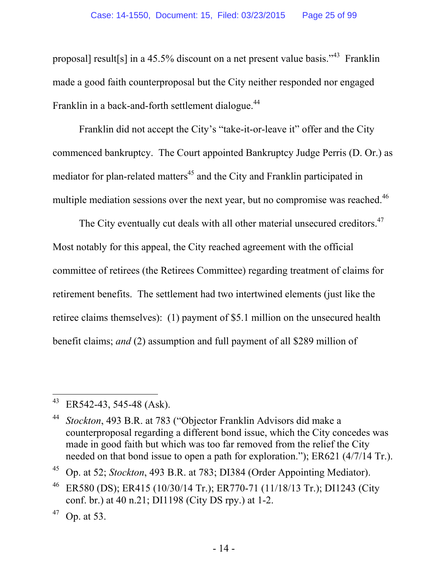proposal] result[s] in a 45.5% discount on a net present value basis."43 Franklin made a good faith counterproposal but the City neither responded nor engaged Franklin in a back-and-forth settlement dialogue.<sup>44</sup>

Franklin did not accept the City's "take-it-or-leave it" offer and the City commenced bankruptcy. The Court appointed Bankruptcy Judge Perris (D. Or.) as mediator for plan-related matters<sup>45</sup> and the City and Franklin participated in multiple mediation sessions over the next year, but no compromise was reached.<sup>46</sup>

The City eventually cut deals with all other material unsecured creditors.<sup>47</sup> Most notably for this appeal, the City reached agreement with the official committee of retirees (the Retirees Committee) regarding treatment of claims for retirement benefits. The settlement had two intertwined elements (just like the retiree claims themselves): (1) payment of \$5.1 million on the unsecured health benefit claims; *and* (2) assumption and full payment of all \$289 million of

 $\overline{a}$  $43$  ER542-43, 545-48 (Ask).

<sup>44</sup> *Stockton*, 493 B.R. at 783 ("Objector Franklin Advisors did make a counterproposal regarding a different bond issue, which the City concedes was made in good faith but which was too far removed from the relief the City needed on that bond issue to open a path for exploration."); ER621 (4/7/14 Tr.).

<sup>45</sup> Op. at 52; *Stockton*, 493 B.R. at 783; DI384 (Order Appointing Mediator).

<sup>46</sup> ER580 (DS); ER415 (10/30/14 Tr.); ER770-71 (11/18/13 Tr.); DI1243 (City conf. br.) at 40 n.21; DI1198 (City DS rpy.) at 1-2.

 $47$  Op. at 53.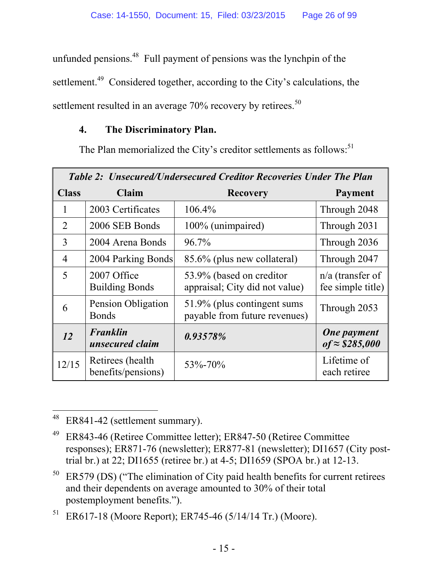unfunded pensions.<sup>48</sup> Full payment of pensions was the lynchpin of the settlement.<sup>49</sup> Considered together, according to the City's calculations, the settlement resulted in an average  $70\%$  recovery by retirees.<sup>50</sup>

### **4. The Discriminatory Plan.**

The Plan memorialized the City's creditor settlements as follows:<sup>51</sup>

| <b>Table 2: Unsecured/Undersecured Creditor Recoveries Under The Plan</b> |                                         |                                                               |                                             |
|---------------------------------------------------------------------------|-----------------------------------------|---------------------------------------------------------------|---------------------------------------------|
| <b>Class</b>                                                              | Claim                                   | <b>Recovery</b>                                               | <b>Payment</b>                              |
| 1                                                                         | 2003 Certificates                       | 106.4%                                                        | Through 2048                                |
| $\overline{2}$                                                            | 2006 SEB Bonds                          | 100% (unimpaired)                                             | Through 2031                                |
| 3                                                                         | 2004 Arena Bonds                        | 96.7%                                                         | Through 2036                                |
| $\overline{4}$                                                            | 2004 Parking Bonds                      | 85.6% (plus new collateral)                                   | Through 2047                                |
| 5                                                                         | 2007 Office<br><b>Building Bonds</b>    | 53.9% (based on creditor<br>appraisal; City did not value)    | $n/a$ (transfer of<br>fee simple title)     |
| 6                                                                         | Pension Obligation<br><b>Bonds</b>      | 51.9% (plus contingent sums)<br>payable from future revenues) | Through 2053                                |
| <i>12</i>                                                                 | <b>Franklin</b><br>unsecured claim      | 0.93578%                                                      | <b>One payment</b><br>$of \approx $285,000$ |
| 12/15                                                                     | Retirees (health)<br>benefits/pensions) | 53\%-70\%                                                     | Lifetime of<br>each retiree                 |

 $\overline{a}$ 48 ER841-42 (settlement summary).

<sup>49</sup> ER843-46 (Retiree Committee letter); ER847-50 (Retiree Committee responses); ER871-76 (newsletter); ER877-81 (newsletter); DI1657 (City posttrial br.) at 22; DI1655 (retiree br.) at 4-5; DI1659 (SPOA br.) at 12-13.

 $50$  ER579 (DS) ("The elimination of City paid health benefits for current retirees and their dependents on average amounted to 30% of their total postemployment benefits.").

<sup>&</sup>lt;sup>51</sup> ER617-18 (Moore Report); ER745-46 (5/14/14 Tr.) (Moore).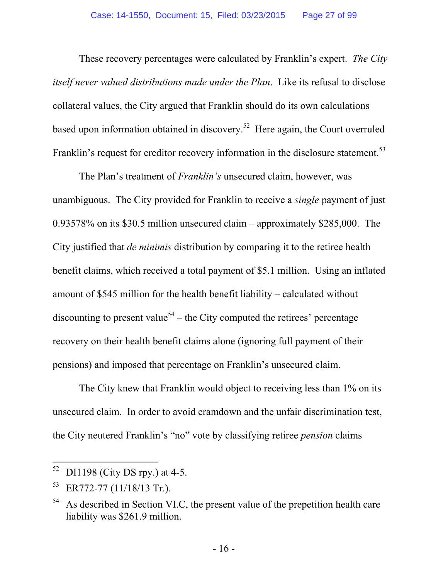These recovery percentages were calculated by Franklin's expert. *The City itself never valued distributions made under the Plan*. Like its refusal to disclose collateral values, the City argued that Franklin should do its own calculations based upon information obtained in discovery.<sup>52</sup> Here again, the Court overruled Franklin's request for creditor recovery information in the disclosure statement.<sup>53</sup>

The Plan's treatment of *Franklin's* unsecured claim, however, was unambiguous. The City provided for Franklin to receive a *single* payment of just 0.93578% on its \$30.5 million unsecured claim – approximately \$285,000. The City justified that *de minimis* distribution by comparing it to the retiree health benefit claims, which received a total payment of \$5.1 million. Using an inflated amount of \$545 million for the health benefit liability – calculated without discounting to present value<sup>54</sup> – the City computed the retirees' percentage recovery on their health benefit claims alone (ignoring full payment of their pensions) and imposed that percentage on Franklin's unsecured claim.

The City knew that Franklin would object to receiving less than 1% on its unsecured claim. In order to avoid cramdown and the unfair discrimination test, the City neutered Franklin's "no" vote by classifying retiree *pension* claims

 $52$  DI1198 (City DS rpy.) at 4-5.

 $^{53}$  ER772-77 (11/18/13 Tr.).

 $54$  As described in Section VI.C, the present value of the prepetition health care liability was \$261.9 million.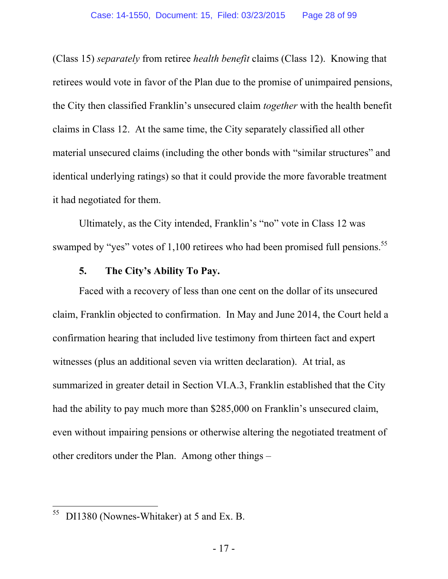(Class 15) *separately* from retiree *health benefit* claims (Class 12). Knowing that retirees would vote in favor of the Plan due to the promise of unimpaired pensions, the City then classified Franklin's unsecured claim *together* with the health benefit claims in Class 12. At the same time, the City separately classified all other material unsecured claims (including the other bonds with "similar structures" and identical underlying ratings) so that it could provide the more favorable treatment it had negotiated for them.

Ultimately, as the City intended, Franklin's "no" vote in Class 12 was swamped by "yes" votes of 1,100 retirees who had been promised full pensions.<sup>55</sup>

#### **5. The City's Ability To Pay.**

Faced with a recovery of less than one cent on the dollar of its unsecured claim, Franklin objected to confirmation. In May and June 2014, the Court held a confirmation hearing that included live testimony from thirteen fact and expert witnesses (plus an additional seven via written declaration). At trial, as summarized in greater detail in Section VI.A.3, Franklin established that the City had the ability to pay much more than \$285,000 on Franklin's unsecured claim, even without impairing pensions or otherwise altering the negotiated treatment of other creditors under the Plan. Among other things –

<sup>55</sup> DI1380 (Nownes-Whitaker) at 5 and Ex. B.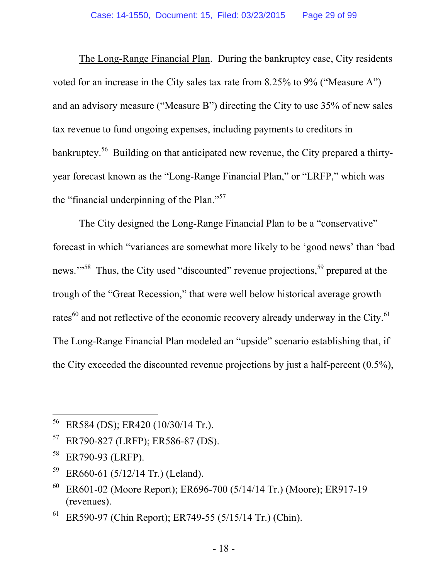The Long-Range Financial Plan. During the bankruptcy case, City residents voted for an increase in the City sales tax rate from 8.25% to 9% ("Measure A") and an advisory measure ("Measure B") directing the City to use 35% of new sales tax revenue to fund ongoing expenses, including payments to creditors in bankruptcy.<sup>56</sup> Building on that anticipated new revenue, the City prepared a thirtyyear forecast known as the "Long-Range Financial Plan," or "LRFP," which was the "financial underpinning of the Plan."57

The City designed the Long-Range Financial Plan to be a "conservative" forecast in which "variances are somewhat more likely to be 'good news' than 'bad news."<sup>58</sup> Thus, the City used "discounted" revenue projections,<sup>59</sup> prepared at the trough of the "Great Recession," that were well below historical average growth rates $^{60}$  and not reflective of the economic recovery already underway in the City. $^{61}$ The Long-Range Financial Plan modeled an "upside" scenario establishing that, if the City exceeded the discounted revenue projections by just a half-percent (0.5%),

<sup>56</sup> ER584 (DS); ER420 (10/30/14 Tr.).

<sup>57</sup> ER790-827 (LRFP); ER586-87 (DS).

<sup>58</sup> ER790-93 (LRFP).

 $59$  ER660-61 (5/12/14 Tr.) (Leland).

 $60$  ER601-02 (Moore Report); ER696-700 (5/14/14 Tr.) (Moore); ER917-19 (revenues).

 $61$  ER590-97 (Chin Report); ER749-55 (5/15/14 Tr.) (Chin).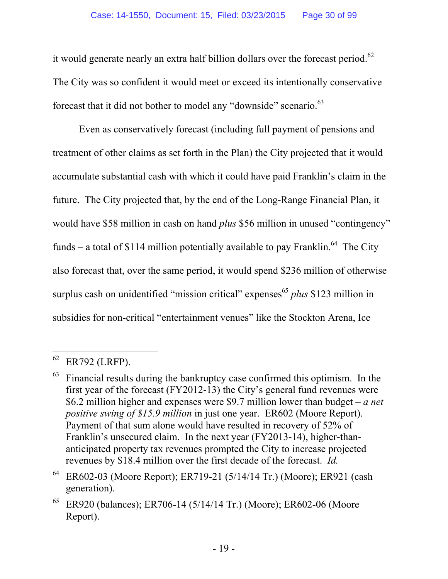it would generate nearly an extra half billion dollars over the forecast period.<sup>62</sup> The City was so confident it would meet or exceed its intentionally conservative forecast that it did not bother to model any "downside" scenario.<sup>63</sup>

Even as conservatively forecast (including full payment of pensions and treatment of other claims as set forth in the Plan) the City projected that it would accumulate substantial cash with which it could have paid Franklin's claim in the future. The City projected that, by the end of the Long-Range Financial Plan, it would have \$58 million in cash on hand *plus* \$56 million in unused "contingency" funds – a total of \$114 million potentially available to pay Franklin.<sup>64</sup> The City also forecast that, over the same period, it would spend \$236 million of otherwise surplus cash on unidentified "mission critical" expenses<sup>65</sup> *plus* \$123 million in subsidies for non-critical "entertainment venues" like the Stockton Arena, Ice

 $62$  ER792 (LRFP).

Financial results during the bankruptcy case confirmed this optimism. In the first year of the forecast (FY2012-13) the City's general fund revenues were \$6.2 million higher and expenses were \$9.7 million lower than budget – *a net positive swing of \$15.9 million* in just one year. ER602 (Moore Report). Payment of that sum alone would have resulted in recovery of 52% of Franklin's unsecured claim. In the next year (FY2013-14), higher-thananticipated property tax revenues prompted the City to increase projected revenues by \$18.4 million over the first decade of the forecast. *Id.* 

<sup>64</sup> ER602-03 (Moore Report); ER719-21 (5/14/14 Tr.) (Moore); ER921 (cash generation).

 $65$  ER920 (balances); ER706-14 (5/14/14 Tr.) (Moore); ER602-06 (Moore Report).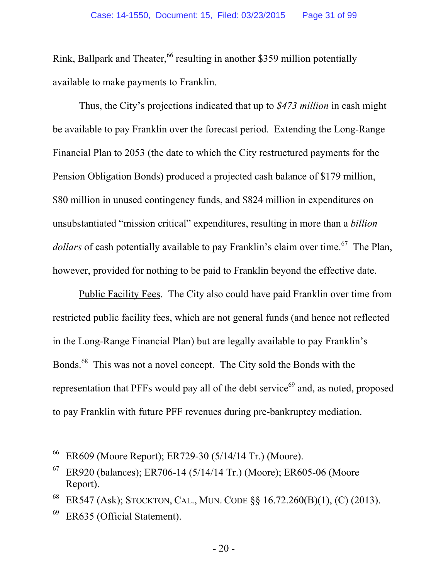Rink, Ballpark and Theater,<sup>66</sup> resulting in another \$359 million potentially available to make payments to Franklin.

Thus, the City's projections indicated that up to *\$473 million* in cash might be available to pay Franklin over the forecast period. Extending the Long-Range Financial Plan to 2053 (the date to which the City restructured payments for the Pension Obligation Bonds) produced a projected cash balance of \$179 million, \$80 million in unused contingency funds, and \$824 million in expenditures on unsubstantiated "mission critical" expenditures, resulting in more than a *billion dollars* of cash potentially available to pay Franklin's claim over time.<sup>67</sup> The Plan, however, provided for nothing to be paid to Franklin beyond the effective date.

Public Facility Fees. The City also could have paid Franklin over time from restricted public facility fees, which are not general funds (and hence not reflected in the Long-Range Financial Plan) but are legally available to pay Franklin's Bonds.68 This was not a novel concept. The City sold the Bonds with the representation that PFFs would pay all of the debt service<sup> $69$ </sup> and, as noted, proposed to pay Franklin with future PFF revenues during pre-bankruptcy mediation.

<sup>66</sup> ER609 (Moore Report); ER729-30 (5/14/14 Tr.) (Moore).

 $67$  ER920 (balances); ER706-14 (5/14/14 Tr.) (Moore); ER605-06 (Moore Report).

<sup>68</sup> ER547 (Ask); STOCKTON, CAL., MUN. CODE §§ 16.72.260(B)(1), (C) (2013).

 $^{69}$  ER635 (Official Statement).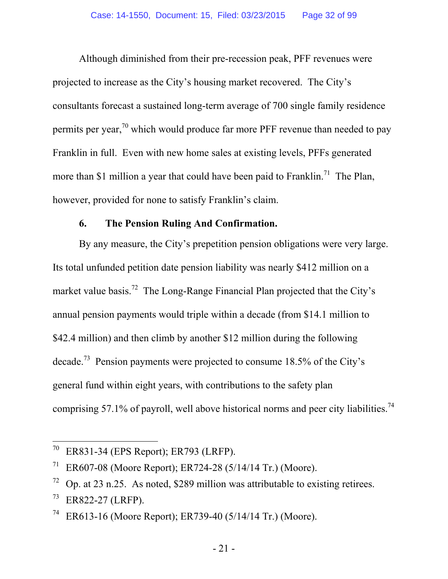Although diminished from their pre-recession peak, PFF revenues were projected to increase as the City's housing market recovered. The City's consultants forecast a sustained long-term average of 700 single family residence permits per year,<sup>70</sup> which would produce far more PFF revenue than needed to pay Franklin in full. Even with new home sales at existing levels, PFFs generated more than \$1 million a year that could have been paid to Franklin.<sup>71</sup> The Plan, however, provided for none to satisfy Franklin's claim.

#### **6. The Pension Ruling And Confirmation.**

By any measure, the City's prepetition pension obligations were very large. Its total unfunded petition date pension liability was nearly \$412 million on a market value basis.<sup>72</sup> The Long-Range Financial Plan projected that the City's annual pension payments would triple within a decade (from \$14.1 million to \$42.4 million) and then climb by another \$12 million during the following decade.73 Pension payments were projected to consume 18.5% of the City's general fund within eight years, with contributions to the safety plan comprising 57.1% of payroll, well above historical norms and peer city liabilities.<sup>74</sup>

<sup>70</sup> ER831-34 (EPS Report); ER793 (LRFP).

<sup>&</sup>lt;sup>71</sup> ER607-08 (Moore Report); ER724-28 (5/14/14 Tr.) (Moore).

 $\frac{72}{2}$  Op. at 23 n.25. As noted, \$289 million was attributable to existing retirees.

 $73$  ER822-27 (LRFP).

ER613-16 (Moore Report); ER739-40 (5/14/14 Tr.) (Moore).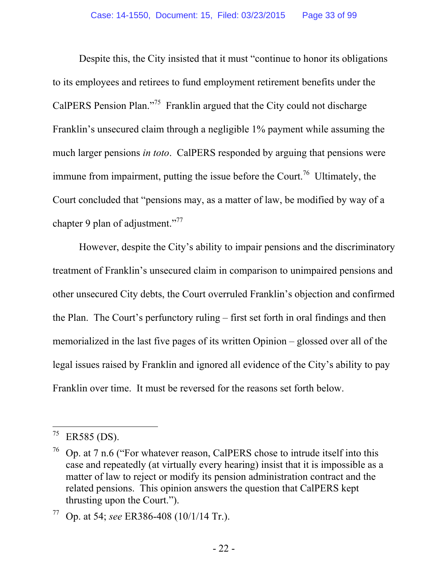Despite this, the City insisted that it must "continue to honor its obligations to its employees and retirees to fund employment retirement benefits under the CalPERS Pension Plan."75 Franklin argued that the City could not discharge Franklin's unsecured claim through a negligible 1% payment while assuming the much larger pensions *in toto*. CalPERS responded by arguing that pensions were immune from impairment, putting the issue before the Court.<sup>76</sup> Ultimately, the Court concluded that "pensions may, as a matter of law, be modified by way of a chapter 9 plan of adjustment."<sup>77</sup>

However, despite the City's ability to impair pensions and the discriminatory treatment of Franklin's unsecured claim in comparison to unimpaired pensions and other unsecured City debts, the Court overruled Franklin's objection and confirmed the Plan. The Court's perfunctory ruling – first set forth in oral findings and then memorialized in the last five pages of its written Opinion – glossed over all of the legal issues raised by Franklin and ignored all evidence of the City's ability to pay Franklin over time. It must be reversed for the reasons set forth below.

 $^{75}$  ER585 (DS).

 $76$  Op. at 7 n.6 ("For whatever reason, CalPERS chose to intrude itself into this case and repeatedly (at virtually every hearing) insist that it is impossible as a matter of law to reject or modify its pension administration contract and the related pensions. This opinion answers the question that CalPERS kept thrusting upon the Court.").

<sup>77</sup> Op. at 54; *see* ER386-408 (10/1/14 Tr.).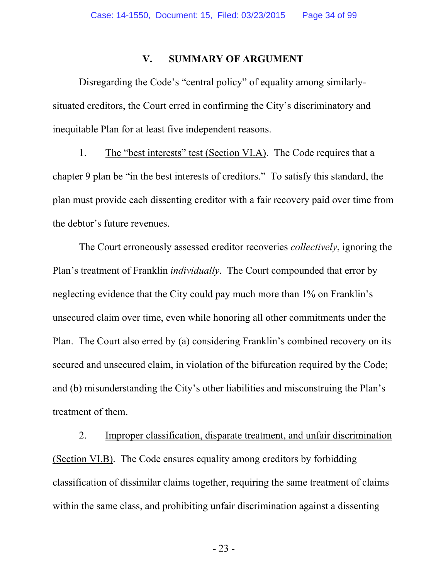#### **V. SUMMARY OF ARGUMENT**

Disregarding the Code's "central policy" of equality among similarlysituated creditors, the Court erred in confirming the City's discriminatory and inequitable Plan for at least five independent reasons.

1. The "best interests" test (Section VI.A). The Code requires that a chapter 9 plan be "in the best interests of creditors." To satisfy this standard, the plan must provide each dissenting creditor with a fair recovery paid over time from the debtor's future revenues.

The Court erroneously assessed creditor recoveries *collectively*, ignoring the Plan's treatment of Franklin *individually*. The Court compounded that error by neglecting evidence that the City could pay much more than 1% on Franklin's unsecured claim over time, even while honoring all other commitments under the Plan. The Court also erred by (a) considering Franklin's combined recovery on its secured and unsecured claim, in violation of the bifurcation required by the Code; and (b) misunderstanding the City's other liabilities and misconstruing the Plan's treatment of them.

2. Improper classification, disparate treatment, and unfair discrimination (Section VI.B). The Code ensures equality among creditors by forbidding classification of dissimilar claims together, requiring the same treatment of claims within the same class, and prohibiting unfair discrimination against a dissenting

- 23 -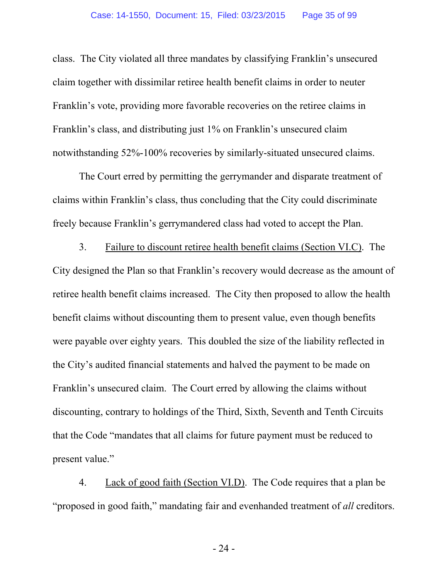class. The City violated all three mandates by classifying Franklin's unsecured claim together with dissimilar retiree health benefit claims in order to neuter Franklin's vote, providing more favorable recoveries on the retiree claims in Franklin's class, and distributing just 1% on Franklin's unsecured claim notwithstanding 52%-100% recoveries by similarly-situated unsecured claims.

The Court erred by permitting the gerrymander and disparate treatment of claims within Franklin's class, thus concluding that the City could discriminate freely because Franklin's gerrymandered class had voted to accept the Plan.

3. Failure to discount retiree health benefit claims (Section VI.C). The City designed the Plan so that Franklin's recovery would decrease as the amount of retiree health benefit claims increased. The City then proposed to allow the health benefit claims without discounting them to present value, even though benefits were payable over eighty years. This doubled the size of the liability reflected in the City's audited financial statements and halved the payment to be made on Franklin's unsecured claim. The Court erred by allowing the claims without discounting, contrary to holdings of the Third, Sixth, Seventh and Tenth Circuits that the Code "mandates that all claims for future payment must be reduced to present value."

4. Lack of good faith (Section VI.D). The Code requires that a plan be "proposed in good faith," mandating fair and evenhanded treatment of *all* creditors.

- 24 -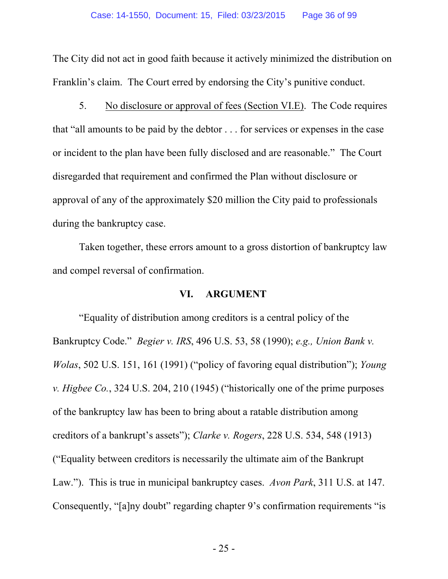The City did not act in good faith because it actively minimized the distribution on Franklin's claim. The Court erred by endorsing the City's punitive conduct.

5. No disclosure or approval of fees (Section VI.E). The Code requires that "all amounts to be paid by the debtor . . . for services or expenses in the case or incident to the plan have been fully disclosed and are reasonable." The Court disregarded that requirement and confirmed the Plan without disclosure or approval of any of the approximately \$20 million the City paid to professionals during the bankruptcy case.

Taken together, these errors amount to a gross distortion of bankruptcy law and compel reversal of confirmation.

#### **VI. ARGUMENT**

"Equality of distribution among creditors is a central policy of the Bankruptcy Code." *Begier v. IRS*, 496 U.S. 53, 58 (1990); *e.g., Union Bank v. Wolas*, 502 U.S. 151, 161 (1991) ("policy of favoring equal distribution"); *Young v. Higbee Co.*, 324 U.S. 204, 210 (1945) ("historically one of the prime purposes of the bankruptcy law has been to bring about a ratable distribution among creditors of a bankrupt's assets"); *Clarke v. Rogers*, 228 U.S. 534, 548 (1913) ("Equality between creditors is necessarily the ultimate aim of the Bankrupt Law."). This is true in municipal bankruptcy cases. *Avon Park*, 311 U.S. at 147. Consequently, "[a]ny doubt" regarding chapter 9's confirmation requirements "is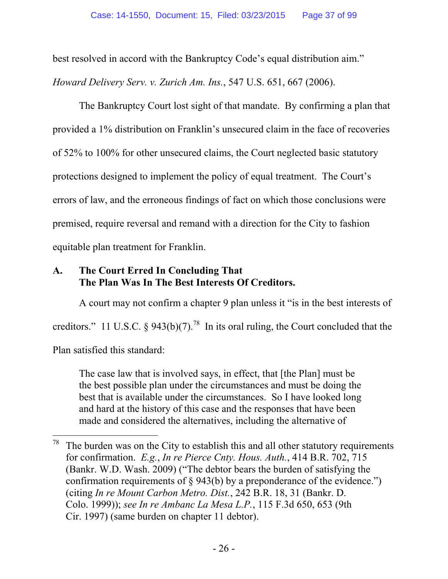best resolved in accord with the Bankruptcy Code's equal distribution aim."

*Howard Delivery Serv. v. Zurich Am. Ins.*, 547 U.S. 651, 667 (2006).

The Bankruptcy Court lost sight of that mandate. By confirming a plan that provided a 1% distribution on Franklin's unsecured claim in the face of recoveries of 52% to 100% for other unsecured claims, the Court neglected basic statutory protections designed to implement the policy of equal treatment. The Court's errors of law, and the erroneous findings of fact on which those conclusions were premised, require reversal and remand with a direction for the City to fashion equitable plan treatment for Franklin.

# **A. The Court Erred In Concluding That The Plan Was In The Best Interests Of Creditors.**

 $\overline{a}$ 

A court may not confirm a chapter 9 plan unless it "is in the best interests of creditors." 11 U.S.C. § 943(b)(7).<sup>78</sup> In its oral ruling, the Court concluded that the Plan satisfied this standard:

The case law that is involved says, in effect, that [the Plan] must be the best possible plan under the circumstances and must be doing the best that is available under the circumstances. So I have looked long and hard at the history of this case and the responses that have been made and considered the alternatives, including the alternative of

 $78$  The burden was on the City to establish this and all other statutory requirements for confirmation. *E.g.*, *In re Pierce Cnty. Hous. Auth.*, 414 B.R. 702, 715 (Bankr. W.D. Wash. 2009) ("The debtor bears the burden of satisfying the confirmation requirements of § 943(b) by a preponderance of the evidence.") (citing *In re Mount Carbon Metro. Dist.*, 242 B.R. 18, 31 (Bankr. D. Colo. 1999)); *see In re Ambanc La Mesa L.P.*, 115 F.3d 650, 653 (9th Cir. 1997) (same burden on chapter 11 debtor).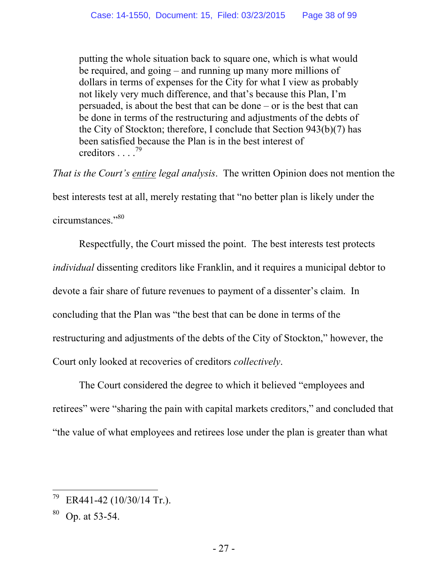putting the whole situation back to square one, which is what would be required, and going – and running up many more millions of dollars in terms of expenses for the City for what I view as probably not likely very much difference, and that's because this Plan, I'm persuaded, is about the best that can be done – or is the best that can be done in terms of the restructuring and adjustments of the debts of the City of Stockton; therefore, I conclude that Section 943(b)(7) has been satisfied because the Plan is in the best interest of creditors . . . .<sup>79</sup>

*That is the Court's entire legal analysis*. The written Opinion does not mention the best interests test at all, merely restating that "no better plan is likely under the circumstances."<sup>80</sup>

Respectfully, the Court missed the point. The best interests test protects *individual* dissenting creditors like Franklin, and it requires a municipal debtor to devote a fair share of future revenues to payment of a dissenter's claim. In concluding that the Plan was "the best that can be done in terms of the restructuring and adjustments of the debts of the City of Stockton," however, the Court only looked at recoveries of creditors *collectively*.

The Court considered the degree to which it believed "employees and retirees" were "sharing the pain with capital markets creditors," and concluded that "the value of what employees and retirees lose under the plan is greater than what

 $^{79}$  ER441-42 (10/30/14 Tr.).

Op. at 53-54.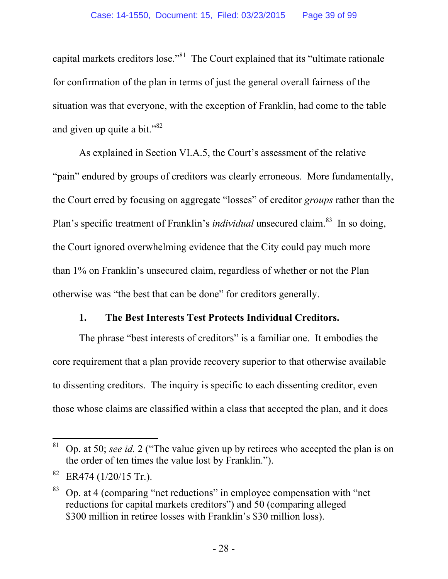capital markets creditors lose."81 The Court explained that its "ultimate rationale for confirmation of the plan in terms of just the general overall fairness of the situation was that everyone, with the exception of Franklin, had come to the table and given up quite a bit."<sup>82</sup>

As explained in Section VI.A.5, the Court's assessment of the relative "pain" endured by groups of creditors was clearly erroneous. More fundamentally, the Court erred by focusing on aggregate "losses" of creditor *groups* rather than the Plan's specific treatment of Franklin's *individual* unsecured claim.<sup>83</sup> In so doing, the Court ignored overwhelming evidence that the City could pay much more than 1% on Franklin's unsecured claim, regardless of whether or not the Plan otherwise was "the best that can be done" for creditors generally.

## **1. The Best Interests Test Protects Individual Creditors.**

The phrase "best interests of creditors" is a familiar one. It embodies the core requirement that a plan provide recovery superior to that otherwise available to dissenting creditors. The inquiry is specific to each dissenting creditor, even those whose claims are classified within a class that accepted the plan, and it does

 $\overline{a}$ 81 Op. at 50; *see id.* 2 ("The value given up by retirees who accepted the plan is on the order of ten times the value lost by Franklin.").

 $82$  ER474 (1/20/15 Tr.).

<sup>83</sup> Op. at 4 (comparing "net reductions" in employee compensation with "net reductions for capital markets creditors") and 50 (comparing alleged \$300 million in retiree losses with Franklin's \$30 million loss).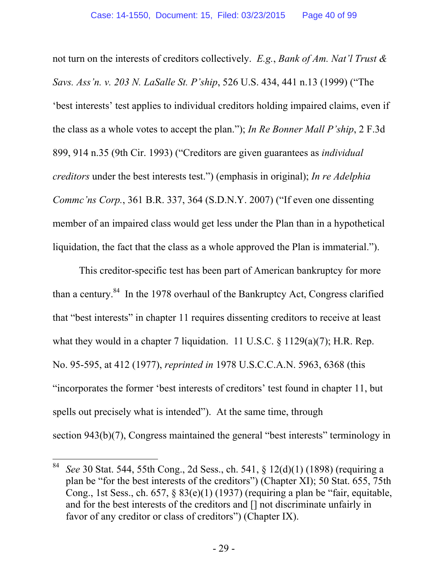not turn on the interests of creditors collectively. *E.g.*, *Bank of Am. Nat'l Trust & Savs. Ass'n. v. 203 N. LaSalle St. P'ship*, 526 U.S. 434, 441 n.13 (1999) ("The 'best interests' test applies to individual creditors holding impaired claims, even if the class as a whole votes to accept the plan."); *In Re Bonner Mall P'ship*, 2 F.3d 899, 914 n.35 (9th Cir. 1993) ("Creditors are given guarantees as *individual creditors* under the best interests test.") (emphasis in original); *In re Adelphia Commc'ns Corp.*, 361 B.R. 337, 364 (S.D.N.Y. 2007) ("If even one dissenting member of an impaired class would get less under the Plan than in a hypothetical liquidation, the fact that the class as a whole approved the Plan is immaterial.").

This creditor-specific test has been part of American bankruptcy for more than a century. $84$  In the 1978 overhaul of the Bankruptcy Act, Congress clarified that "best interests" in chapter 11 requires dissenting creditors to receive at least what they would in a chapter 7 liquidation. 11 U.S.C. § 1129(a)(7); H.R. Rep. No. 95-595, at 412 (1977), *reprinted in* 1978 U.S.C.C.A.N. 5963, 6368 (this "incorporates the former 'best interests of creditors' test found in chapter 11, but spells out precisely what is intended"). At the same time, through section 943(b)(7), Congress maintained the general "best interests" terminology in

<sup>84</sup> 84 *See* 30 Stat. 544, 55th Cong., 2d Sess., ch. 541, § 12(d)(1) (1898) (requiring a plan be "for the best interests of the creditors") (Chapter XI); 50 Stat. 655, 75th Cong., 1st Sess., ch. 657, § 83(e)(1) (1937) (requiring a plan be "fair, equitable, and for the best interests of the creditors and [] not discriminate unfairly in favor of any creditor or class of creditors") (Chapter IX).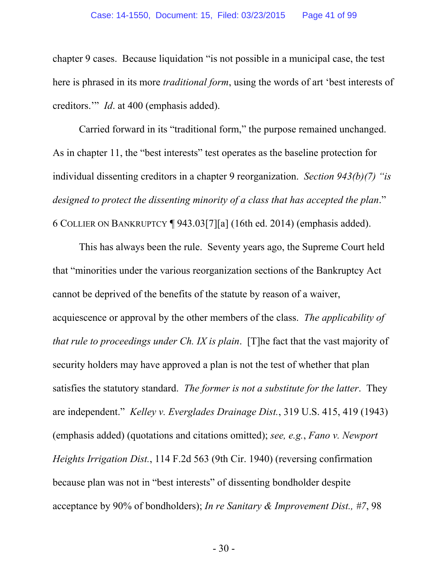chapter 9 cases. Because liquidation "is not possible in a municipal case, the test here is phrased in its more *traditional form*, using the words of art 'best interests of creditors.'" *Id*. at 400 (emphasis added).

Carried forward in its "traditional form," the purpose remained unchanged. As in chapter 11, the "best interests" test operates as the baseline protection for individual dissenting creditors in a chapter 9 reorganization. *Section 943(b)(7) "is designed to protect the dissenting minority of a class that has accepted the plan*." 6 COLLIER ON BANKRUPTCY ¶ 943.03[7][a] (16th ed. 2014) (emphasis added).

This has always been the rule. Seventy years ago, the Supreme Court held that "minorities under the various reorganization sections of the Bankruptcy Act cannot be deprived of the benefits of the statute by reason of a waiver, acquiescence or approval by the other members of the class. *The applicability of that rule to proceedings under Ch. IX is plain*. [T]he fact that the vast majority of security holders may have approved a plan is not the test of whether that plan satisfies the statutory standard. *The former is not a substitute for the latter*. They are independent." *Kelley v. Everglades Drainage Dist.*, 319 U.S. 415, 419 (1943) (emphasis added) (quotations and citations omitted); *see, e.g.*, *Fano v. Newport Heights Irrigation Dist.*, 114 F.2d 563 (9th Cir. 1940) (reversing confirmation because plan was not in "best interests" of dissenting bondholder despite acceptance by 90% of bondholders); *In re Sanitary & Improvement Dist., #7*, 98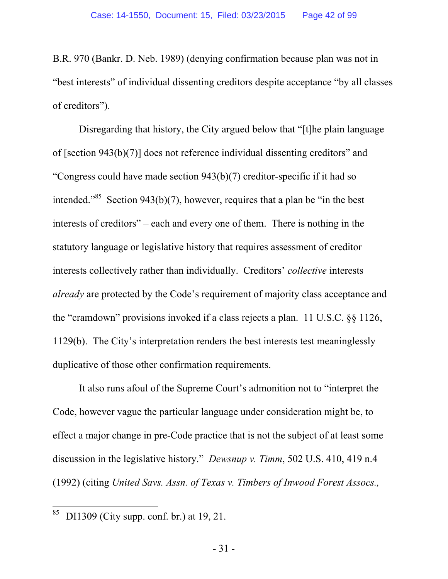B.R. 970 (Bankr. D. Neb. 1989) (denying confirmation because plan was not in "best interests" of individual dissenting creditors despite acceptance "by all classes of creditors").

Disregarding that history, the City argued below that "[t]he plain language of [section 943(b)(7)] does not reference individual dissenting creditors" and "Congress could have made section 943(b)(7) creditor-specific if it had so intended."<sup>85</sup> Section 943(b)(7), however, requires that a plan be "in the best interests of creditors" – each and every one of them. There is nothing in the statutory language or legislative history that requires assessment of creditor interests collectively rather than individually. Creditors' *collective* interests *already* are protected by the Code's requirement of majority class acceptance and the "cramdown" provisions invoked if a class rejects a plan. 11 U.S.C. §§ 1126, 1129(b). The City's interpretation renders the best interests test meaninglessly duplicative of those other confirmation requirements.

It also runs afoul of the Supreme Court's admonition not to "interpret the Code, however vague the particular language under consideration might be, to effect a major change in pre-Code practice that is not the subject of at least some discussion in the legislative history." *Dewsnup v. Timm*, 502 U.S. 410, 419 n.4 (1992) (citing *United Savs. Assn. of Texas v. Timbers of Inwood Forest Assocs.,*

<sup>85</sup> 85 DI1309 (City supp. conf. br.) at 19, 21.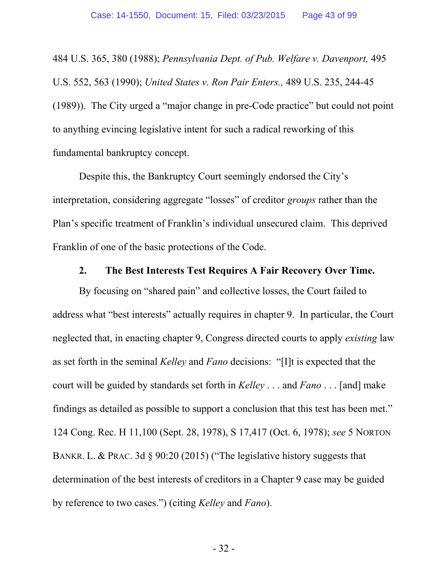484 U.S. 365, 380 (1988); *Pennsylvania Dept. of Pub. Welfare v. Davenport,* 495 U.S. 552, 563 (1990); *United States v. Ron Pair Enters.,* 489 U.S. 235, 244-45 (1989)). The City urged a "major change in pre-Code practice" but could not point to anything evincing legislative intent for such a radical reworking of this fundamental bankruptcy concept.

Despite this, the Bankruptcy Court seemingly endorsed the City's interpretation, considering aggregate "losses" of creditor *groups* rather than the Plan's specific treatment of Franklin's individual unsecured claim. This deprived Franklin of one of the basic protections of the Code.

#### **2. The Best Interests Test Requires A Fair Recovery Over Time.**

By focusing on "shared pain" and collective losses, the Court failed to address what "best interests" actually requires in chapter 9. In particular, the Court neglected that, in enacting chapter 9, Congress directed courts to apply *existing* law as set forth in the seminal *Kelley* and *Fano* decisions: "[I]t is expected that the court will be guided by standards set forth in *Kelley* . . . and *Fano* . . . [and] make findings as detailed as possible to support a conclusion that this test has been met." 124 Cong. Rec. H 11,100 (Sept. 28, 1978), S 17,417 (Oct. 6, 1978); *see* 5 NORTON BANKR. L. & PRAC. 3d § 90:20 (2015) ("The legislative history suggests that determination of the best interests of creditors in a Chapter 9 case may be guided by reference to two cases.") (citing *Kelley* and *Fano*).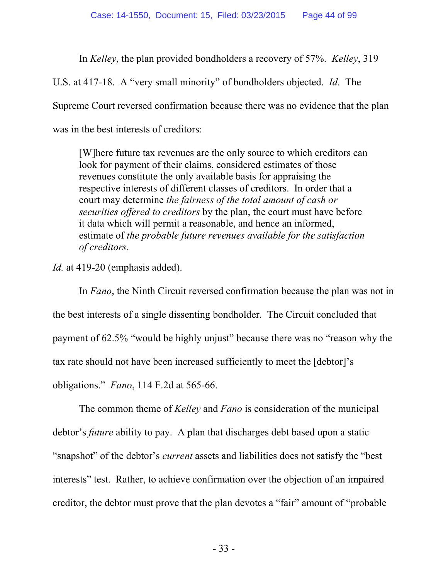In *Kelley*, the plan provided bondholders a recovery of 57%. *Kelley*, 319

U.S. at 417-18. A "very small minority" of bondholders objected. *Id.* The

Supreme Court reversed confirmation because there was no evidence that the plan

was in the best interests of creditors:

[W]here future tax revenues are the only source to which creditors can look for payment of their claims, considered estimates of those revenues constitute the only available basis for appraising the respective interests of different classes of creditors. In order that a court may determine *the fairness of the total amount of cash or securities offered to creditors* by the plan, the court must have before it data which will permit a reasonable, and hence an informed, estimate of *the probable future revenues available for the satisfaction of creditors*.

*Id.* at 419-20 (emphasis added).

In *Fano*, the Ninth Circuit reversed confirmation because the plan was not in the best interests of a single dissenting bondholder. The Circuit concluded that payment of 62.5% "would be highly unjust" because there was no "reason why the tax rate should not have been increased sufficiently to meet the [debtor]'s obligations." *Fano*, 114 F.2d at 565-66.

The common theme of *Kelley* and *Fano* is consideration of the municipal debtor's *future* ability to pay. A plan that discharges debt based upon a static "snapshot" of the debtor's *current* assets and liabilities does not satisfy the "best interests" test. Rather, to achieve confirmation over the objection of an impaired creditor, the debtor must prove that the plan devotes a "fair" amount of "probable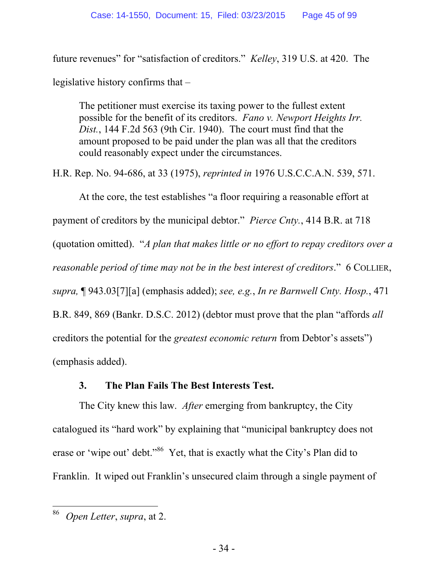future revenues" for "satisfaction of creditors." *Kelley*, 319 U.S. at 420. The legislative history confirms that –

The petitioner must exercise its taxing power to the fullest extent possible for the benefit of its creditors. *Fano v. Newport Heights Irr. Dist.*, 144 F.2d 563 (9th Cir. 1940). The court must find that the amount proposed to be paid under the plan was all that the creditors could reasonably expect under the circumstances.

H.R. Rep. No. 94-686, at 33 (1975), *reprinted in* 1976 U.S.C.C.A.N. 539, 571.

At the core, the test establishes "a floor requiring a reasonable effort at payment of creditors by the municipal debtor." *Pierce Cnty.*, 414 B.R. at 718 (quotation omitted). "*A plan that makes little or no effort to repay creditors over a reasonable period of time may not be in the best interest of creditors*." 6 COLLIER, *supra,* ¶ 943.03[7][a] (emphasis added); *see, e.g.*, *In re Barnwell Cnty. Hosp.*, 471 B.R. 849, 869 (Bankr. D.S.C. 2012) (debtor must prove that the plan "affords *all* creditors the potential for the *greatest economic return* from Debtor's assets") (emphasis added).

## **3. The Plan Fails The Best Interests Test.**

The City knew this law. *After* emerging from bankruptcy, the City catalogued its "hard work" by explaining that "municipal bankruptcy does not erase or 'wipe out' debt."<sup>86</sup> Yet, that is exactly what the City's Plan did to Franklin. It wiped out Franklin's unsecured claim through a single payment of

<sup>86</sup> 86 *Open Letter*, *supra*, at 2.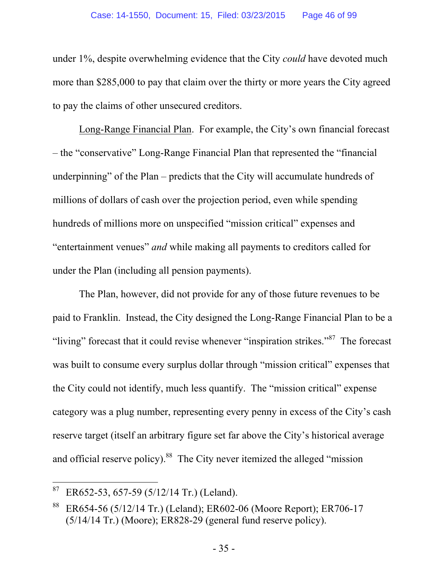under 1%, despite overwhelming evidence that the City *could* have devoted much more than \$285,000 to pay that claim over the thirty or more years the City agreed to pay the claims of other unsecured creditors.

Long-Range Financial Plan. For example, the City's own financial forecast – the "conservative" Long-Range Financial Plan that represented the "financial underpinning" of the Plan – predicts that the City will accumulate hundreds of millions of dollars of cash over the projection period, even while spending hundreds of millions more on unspecified "mission critical" expenses and "entertainment venues" *and* while making all payments to creditors called for under the Plan (including all pension payments).

The Plan, however, did not provide for any of those future revenues to be paid to Franklin. Instead, the City designed the Long-Range Financial Plan to be a "living" forecast that it could revise whenever "inspiration strikes."<sup>87</sup> The forecast was built to consume every surplus dollar through "mission critical" expenses that the City could not identify, much less quantify. The "mission critical" expense category was a plug number, representing every penny in excess of the City's cash reserve target (itself an arbitrary figure set far above the City's historical average and official reserve policy).<sup>88</sup> The City never itemized the alleged "mission"

 $87$  ER652-53, 657-59 (5/12/14 Tr.) (Leland).

<sup>88</sup> ER654-56 (5/12/14 Tr.) (Leland); ER602-06 (Moore Report); ER706-17 (5/14/14 Tr.) (Moore); ER828-29 (general fund reserve policy).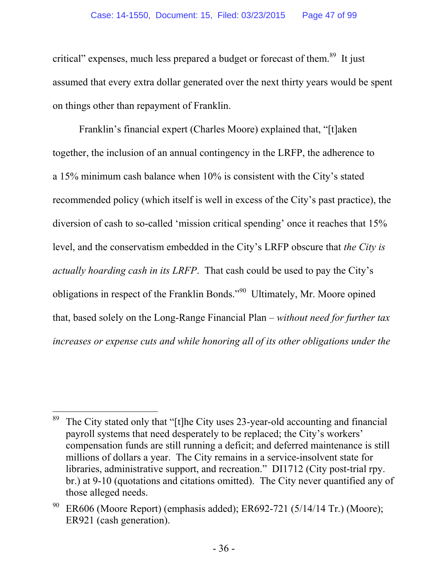critical" expenses, much less prepared a budget or forecast of them.<sup>89</sup> It just assumed that every extra dollar generated over the next thirty years would be spent on things other than repayment of Franklin.

Franklin's financial expert (Charles Moore) explained that, "[t]aken together, the inclusion of an annual contingency in the LRFP, the adherence to a 15% minimum cash balance when 10% is consistent with the City's stated recommended policy (which itself is well in excess of the City's past practice), the diversion of cash to so-called 'mission critical spending' once it reaches that 15% level, and the conservatism embedded in the City's LRFP obscure that *the City is actually hoarding cash in its LRFP*. That cash could be used to pay the City's obligations in respect of the Franklin Bonds."90 Ultimately, Mr. Moore opined that, based solely on the Long-Range Financial Plan – *without need for further tax increases or expense cuts and while honoring all of its other obligations under the* 

 $\overline{a}$ <sup>89</sup> The City stated only that "[t]he City uses 23-year-old accounting and financial payroll systems that need desperately to be replaced; the City's workers' compensation funds are still running a deficit; and deferred maintenance is still millions of dollars a year. The City remains in a service-insolvent state for libraries, administrative support, and recreation." DI1712 (City post-trial rpy. br.) at 9-10 (quotations and citations omitted). The City never quantified any of those alleged needs.

ER606 (Moore Report) (emphasis added); ER692-721 (5/14/14 Tr.) (Moore); ER921 (cash generation).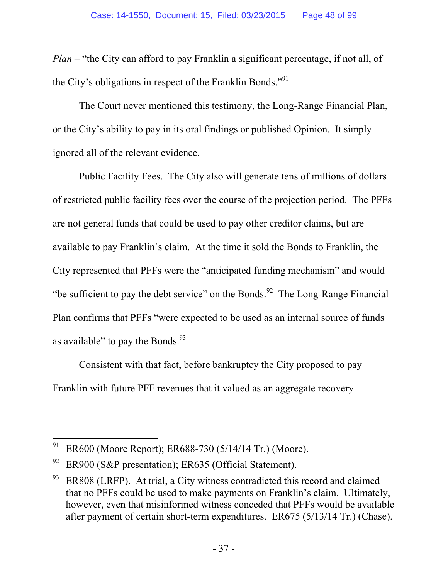*Plan* – "the City can afford to pay Franklin a significant percentage, if not all, of the City's obligations in respect of the Franklin Bonds."91

The Court never mentioned this testimony, the Long-Range Financial Plan, or the City's ability to pay in its oral findings or published Opinion. It simply ignored all of the relevant evidence.

Public Facility Fees. The City also will generate tens of millions of dollars of restricted public facility fees over the course of the projection period. The PFFs are not general funds that could be used to pay other creditor claims, but are available to pay Franklin's claim. At the time it sold the Bonds to Franklin, the City represented that PFFs were the "anticipated funding mechanism" and would "be sufficient to pay the debt service" on the Bonds.<sup>92</sup> The Long-Range Financial Plan confirms that PFFs "were expected to be used as an internal source of funds as available" to pay the Bonds. $^{93}$ 

Consistent with that fact, before bankruptcy the City proposed to pay Franklin with future PFF revenues that it valued as an aggregate recovery

 $\overline{a}$ <sup>91</sup> ER600 (Moore Report); ER688-730 (5/14/14 Tr.) (Moore).

<sup>&</sup>lt;sup>92</sup> ER900 (S&P presentation); ER635 (Official Statement).

 $93$  ER808 (LRFP). At trial, a City witness contradicted this record and claimed that no PFFs could be used to make payments on Franklin's claim. Ultimately, however, even that misinformed witness conceded that PFFs would be available after payment of certain short-term expenditures. ER675 (5/13/14 Tr.) (Chase).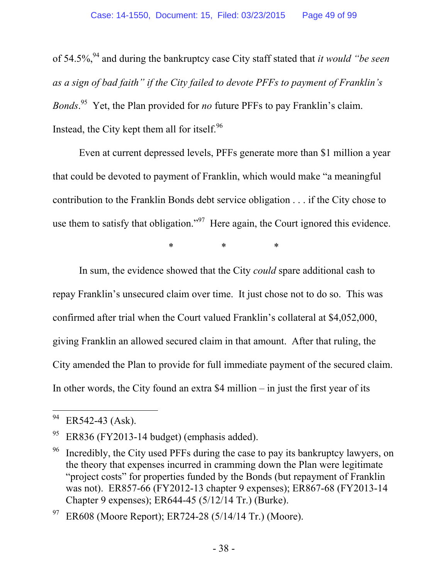of 54.5%,94 and during the bankruptcy case City staff stated that *it would "be seen as a sign of bad faith" if the City failed to devote PFFs to payment of Franklin's Bonds*. 95 Yet, the Plan provided for *no* future PFFs to pay Franklin's claim. Instead, the City kept them all for itself. $96$ 

Even at current depressed levels, PFFs generate more than \$1 million a year that could be devoted to payment of Franklin, which would make "a meaningful contribution to the Franklin Bonds debt service obligation . . . if the City chose to use them to satisfy that obligation."<sup>97</sup> Here again, the Court ignored this evidence.

\* \* \*

In sum, the evidence showed that the City *could* spare additional cash to repay Franklin's unsecured claim over time. It just chose not to do so. This was confirmed after trial when the Court valued Franklin's collateral at \$4,052,000, giving Franklin an allowed secured claim in that amount. After that ruling, the City amended the Plan to provide for full immediate payment of the secured claim. In other words, the City found an extra \$4 million – in just the first year of its

ER608 (Moore Report); ER724-28 (5/14/14 Tr.) (Moore).

 $\ensuremath{94}$ ER542-43 (Ask).

 $95$  ER836 (FY2013-14 budget) (emphasis added).

 $96$  Incredibly, the City used PFFs during the case to pay its bankruptcy lawyers, on the theory that expenses incurred in cramming down the Plan were legitimate "project costs" for properties funded by the Bonds (but repayment of Franklin was not). ER857-66 (FY2012-13 chapter 9 expenses); ER867-68 (FY2013-14 Chapter 9 expenses); ER644-45 (5/12/14 Tr.) (Burke).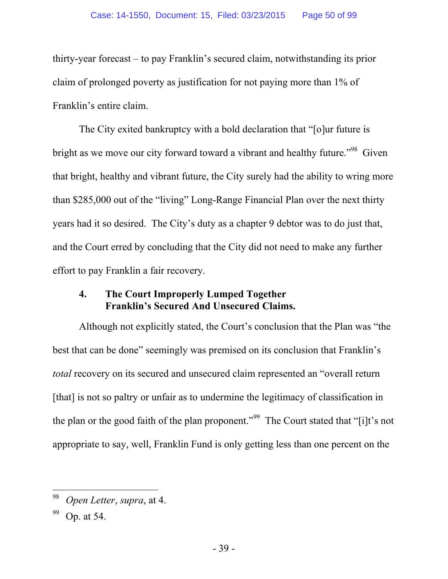thirty-year forecast – to pay Franklin's secured claim, notwithstanding its prior claim of prolonged poverty as justification for not paying more than 1% of Franklin's entire claim.

The City exited bankruptcy with a bold declaration that "[o]ur future is bright as we move our city forward toward a vibrant and healthy future.<sup>"98</sup> Given that bright, healthy and vibrant future, the City surely had the ability to wring more than \$285,000 out of the "living" Long-Range Financial Plan over the next thirty years had it so desired. The City's duty as a chapter 9 debtor was to do just that, and the Court erred by concluding that the City did not need to make any further effort to pay Franklin a fair recovery.

#### **4. The Court Improperly Lumped Together Franklin's Secured And Unsecured Claims.**

Although not explicitly stated, the Court's conclusion that the Plan was "the best that can be done" seemingly was premised on its conclusion that Franklin's *total* recovery on its secured and unsecured claim represented an "overall return [that] is not so paltry or unfair as to undermine the legitimacy of classification in the plan or the good faith of the plan proponent."<sup>99</sup> The Court stated that "[i]t's not appropriate to say, well, Franklin Fund is only getting less than one percent on the

<sup>98</sup> *Open Letter*, *supra*, at 4.

Op. at 54.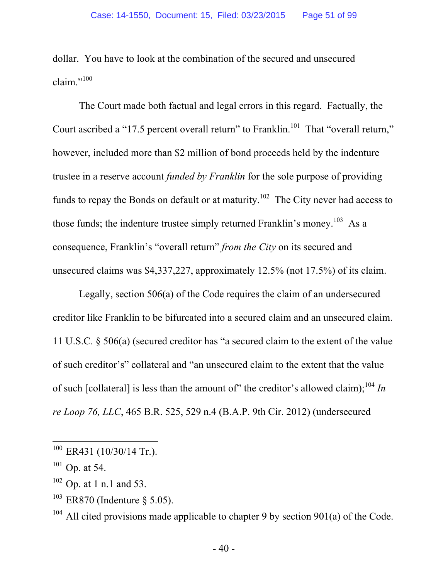dollar. You have to look at the combination of the secured and unsecured claim." $100$ 

The Court made both factual and legal errors in this regard. Factually, the Court ascribed a "17.5 percent overall return" to Franklin.<sup>101</sup> That "overall return," however, included more than \$2 million of bond proceeds held by the indenture trustee in a reserve account *funded by Franklin* for the sole purpose of providing funds to repay the Bonds on default or at maturity.<sup>102</sup> The City never had access to those funds; the indenture trustee simply returned Franklin's money.<sup>103</sup> As a consequence, Franklin's "overall return" *from the City* on its secured and unsecured claims was \$4,337,227, approximately 12.5% (not 17.5%) of its claim.

Legally, section 506(a) of the Code requires the claim of an undersecured creditor like Franklin to be bifurcated into a secured claim and an unsecured claim. 11 U.S.C. § 506(a) (secured creditor has "a secured claim to the extent of the value of such creditor's" collateral and "an unsecured claim to the extent that the value of such [collateral] is less than the amount of" the creditor's allowed claim);<sup>104</sup> *In re Loop 76, LLC*, 465 B.R. 525, 529 n.4 (B.A.P. 9th Cir. 2012) (undersecured

 $100$  ER431 (10/30/14 Tr.).

 $101$  Op. at 54.

<sup>102</sup> Op. at 1 n.1 and 53.

 $103$  ER870 (Indenture § 5.05).

 $104$  All cited provisions made applicable to chapter 9 by section 901(a) of the Code.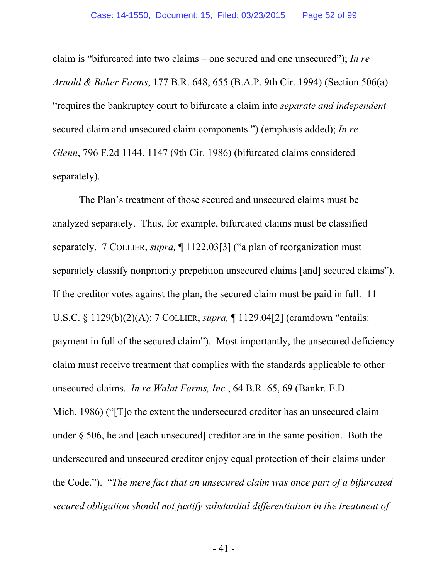claim is "bifurcated into two claims – one secured and one unsecured"); *In re Arnold & Baker Farms*, 177 B.R. 648, 655 (B.A.P. 9th Cir. 1994) (Section 506(a) "requires the bankruptcy court to bifurcate a claim into *separate and independent* secured claim and unsecured claim components.") (emphasis added); *In re Glenn*, 796 F.2d 1144, 1147 (9th Cir. 1986) (bifurcated claims considered separately).

The Plan's treatment of those secured and unsecured claims must be analyzed separately. Thus, for example, bifurcated claims must be classified separately. 7 COLLIER, *supra,* ¶ 1122.03[3] ("a plan of reorganization must separately classify nonpriority prepetition unsecured claims [and] secured claims"). If the creditor votes against the plan, the secured claim must be paid in full. 11 U.S.C. § 1129(b)(2)(A); 7 COLLIER, *supra,* ¶ 1129.04[2] (cramdown "entails: payment in full of the secured claim"). Most importantly, the unsecured deficiency claim must receive treatment that complies with the standards applicable to other unsecured claims. *In re Walat Farms, Inc.*, 64 B.R. 65, 69 (Bankr. E.D. Mich. 1986) ("[T]o the extent the undersecured creditor has an unsecured claim under § 506, he and [each unsecured] creditor are in the same position. Both the undersecured and unsecured creditor enjoy equal protection of their claims under the Code."). "*The mere fact that an unsecured claim was once part of a bifurcated secured obligation should not justify substantial differentiation in the treatment of*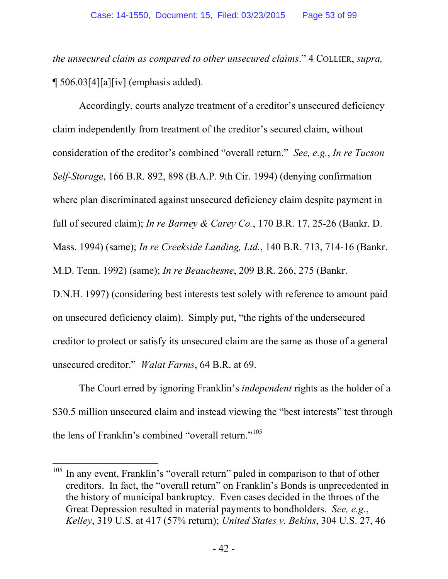*the unsecured claim as compared to other unsecured claims*." 4 COLLIER, *supra,* ¶ 506.03[4][a][iv] (emphasis added).

Accordingly, courts analyze treatment of a creditor's unsecured deficiency claim independently from treatment of the creditor's secured claim, without consideration of the creditor's combined "overall return." *See, e.g.*, *In re Tucson Self-Storage*, 166 B.R. 892, 898 (B.A.P. 9th Cir. 1994) (denying confirmation where plan discriminated against unsecured deficiency claim despite payment in full of secured claim); *In re Barney & Carey Co.*, 170 B.R. 17, 25-26 (Bankr. D. Mass. 1994) (same); *In re Creekside Landing, Ltd.*, 140 B.R. 713, 714-16 (Bankr. M.D. Tenn. 1992) (same); *In re Beauchesne*, 209 B.R. 266, 275 (Bankr. D.N.H. 1997) (considering best interests test solely with reference to amount paid on unsecured deficiency claim). Simply put, "the rights of the undersecured creditor to protect or satisfy its unsecured claim are the same as those of a general

unsecured creditor." *Walat Farms*, 64 B.R. at 69.

 $\overline{a}$ 

The Court erred by ignoring Franklin's *independent* rights as the holder of a \$30.5 million unsecured claim and instead viewing the "best interests" test through the lens of Franklin's combined "overall return."<sup>105</sup>

 $105$  In any event, Franklin's "overall return" paled in comparison to that of other creditors. In fact, the "overall return" on Franklin's Bonds is unprecedented in the history of municipal bankruptcy. Even cases decided in the throes of the Great Depression resulted in material payments to bondholders. *See, e.g.*, *Kelley*, 319 U.S. at 417 (57% return); *United States v. Bekins*, 304 U.S. 27, 46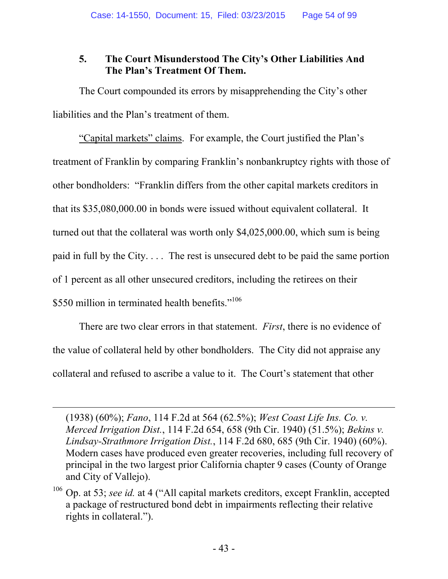# **5. The Court Misunderstood The City's Other Liabilities And The Plan's Treatment Of Them.**

The Court compounded its errors by misapprehending the City's other liabilities and the Plan's treatment of them.

"Capital markets" claims. For example, the Court justified the Plan's treatment of Franklin by comparing Franklin's nonbankruptcy rights with those of other bondholders: "Franklin differs from the other capital markets creditors in that its \$35,080,000.00 in bonds were issued without equivalent collateral. It turned out that the collateral was worth only \$4,025,000.00, which sum is being paid in full by the City. . . . The rest is unsecured debt to be paid the same portion of 1 percent as all other unsecured creditors, including the retirees on their \$550 million in terminated health benefits."<sup>106</sup>

There are two clear errors in that statement. *First*, there is no evidence of the value of collateral held by other bondholders. The City did not appraise any collateral and refused to ascribe a value to it. The Court's statement that other

<sup>(1938) (60%);</sup> *Fano*, 114 F.2d at 564 (62.5%); *West Coast Life Ins. Co. v. Merced Irrigation Dist.*, 114 F.2d 654, 658 (9th Cir. 1940) (51.5%); *Bekins v. Lindsay-Strathmore Irrigation Dist.*, 114 F.2d 680, 685 (9th Cir. 1940) (60%). Modern cases have produced even greater recoveries, including full recovery of principal in the two largest prior California chapter 9 cases (County of Orange and City of Vallejo).

<sup>106</sup> Op. at 53; *see id.* at 4 ("All capital markets creditors, except Franklin, accepted a package of restructured bond debt in impairments reflecting their relative rights in collateral.").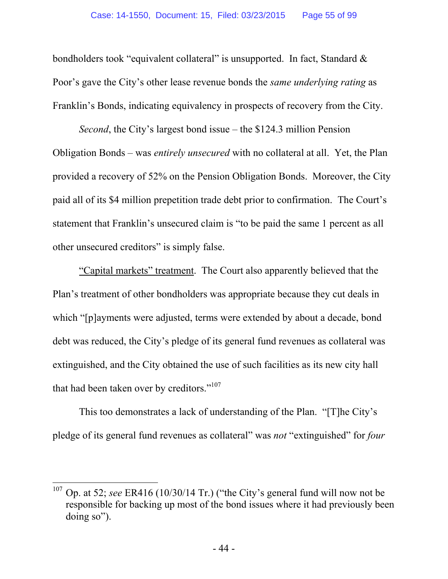bondholders took "equivalent collateral" is unsupported. In fact, Standard & Poor's gave the City's other lease revenue bonds the *same underlying rating* as Franklin's Bonds, indicating equivalency in prospects of recovery from the City.

*Second*, the City's largest bond issue – the \$124.3 million Pension Obligation Bonds – was *entirely unsecured* with no collateral at all. Yet, the Plan provided a recovery of 52% on the Pension Obligation Bonds. Moreover, the City paid all of its \$4 million prepetition trade debt prior to confirmation. The Court's statement that Franklin's unsecured claim is "to be paid the same 1 percent as all other unsecured creditors" is simply false.

"Capital markets" treatment. The Court also apparently believed that the Plan's treatment of other bondholders was appropriate because they cut deals in which "[p]ayments were adjusted, terms were extended by about a decade, bond debt was reduced, the City's pledge of its general fund revenues as collateral was extinguished, and the City obtained the use of such facilities as its new city hall that had been taken over by creditors."107

This too demonstrates a lack of understanding of the Plan. "[T]he City's pledge of its general fund revenues as collateral" was *not* "extinguished" for *four* 

<sup>&</sup>lt;sup>107</sup> Op. at 52; *see* ER416 (10/30/14 Tr.) ("the City's general fund will now not be responsible for backing up most of the bond issues where it had previously been doing so").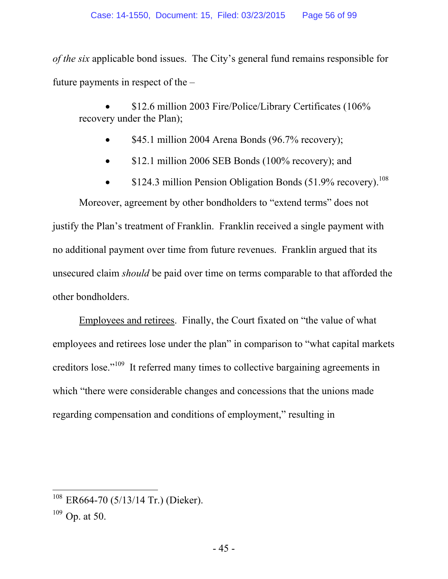*of the six* applicable bond issues. The City's general fund remains responsible for future payments in respect of the –

 \$12.6 million 2003 Fire/Police/Library Certificates (106% recovery under the Plan);

- \$45.1 million 2004 Arena Bonds (96.7% recovery);
- \$12.1 million 2006 SEB Bonds (100% recovery); and
- \$124.3 million Pension Obligation Bonds  $(51.9\% \text{ recovery})$ .<sup>108</sup>

Moreover, agreement by other bondholders to "extend terms" does not justify the Plan's treatment of Franklin. Franklin received a single payment with no additional payment over time from future revenues. Franklin argued that its unsecured claim *should* be paid over time on terms comparable to that afforded the other bondholders.

Employees and retirees. Finally, the Court fixated on "the value of what employees and retirees lose under the plan" in comparison to "what capital markets creditors lose."109 It referred many times to collective bargaining agreements in which "there were considerable changes and concessions that the unions made regarding compensation and conditions of employment," resulting in

 $108$  ER664-70 (5/13/14 Tr.) (Dieker).

 $109$  Op. at 50.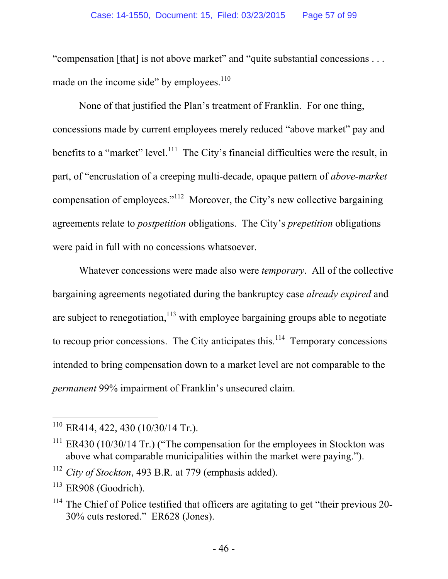"compensation [that] is not above market" and "quite substantial concessions . . . made on the income side" by employees. $110$ 

None of that justified the Plan's treatment of Franklin. For one thing, concessions made by current employees merely reduced "above market" pay and benefits to a "market" level. $111$  The City's financial difficulties were the result, in part, of "encrustation of a creeping multi-decade, opaque pattern of *above-market* compensation of employees."112 Moreover, the City's new collective bargaining agreements relate to *postpetition* obligations. The City's *prepetition* obligations were paid in full with no concessions whatsoever.

Whatever concessions were made also were *temporary*. All of the collective bargaining agreements negotiated during the bankruptcy case *already expired* and are subject to renegotiation, $113$  with employee bargaining groups able to negotiate to recoup prior concessions. The City anticipates this.<sup>114</sup> Temporary concessions intended to bring compensation down to a market level are not comparable to the *permanent* 99% impairment of Franklin's unsecured claim.

 $\overline{a}$  $110$  ER414, 422, 430 (10/30/14 Tr.).

 $111$  ER430 (10/30/14 Tr.) ("The compensation for the employees in Stockton was above what comparable municipalities within the market were paying.").

<sup>112</sup> *City of Stockton*, 493 B.R. at 779 (emphasis added).

 $113$  ER908 (Goodrich).

 $114$  The Chief of Police testified that officers are agitating to get "their previous 20-30% cuts restored." ER628 (Jones).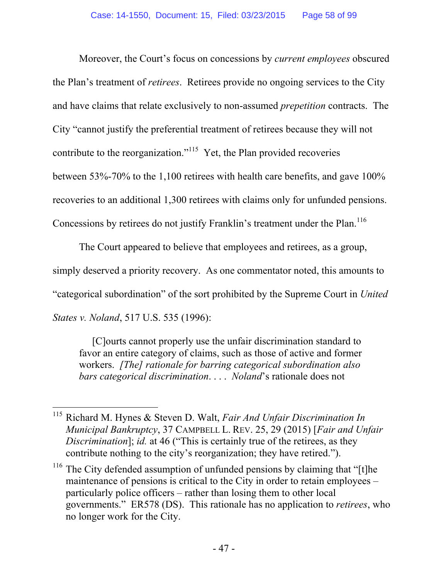Moreover, the Court's focus on concessions by *current employees* obscured the Plan's treatment of *retirees*. Retirees provide no ongoing services to the City and have claims that relate exclusively to non-assumed *prepetition* contracts. The City "cannot justify the preferential treatment of retirees because they will not contribute to the reorganization."<sup>115</sup> Yet, the Plan provided recoveries between 53%-70% to the 1,100 retirees with health care benefits, and gave 100% recoveries to an additional 1,300 retirees with claims only for unfunded pensions. Concessions by retirees do not justify Franklin's treatment under the Plan.<sup>116</sup>

The Court appeared to believe that employees and retirees, as a group, simply deserved a priority recovery. As one commentator noted, this amounts to "categorical subordination" of the sort prohibited by the Supreme Court in *United States v. Noland*, 517 U.S. 535 (1996):

[C]ourts cannot properly use the unfair discrimination standard to favor an entire category of claims, such as those of active and former workers. *[The] rationale for barring categorical subordination also bars categorical discrimination*. . . . *Noland*'s rationale does not

 $\overline{a}$ 115 Richard M. Hynes & Steven D. Walt, *Fair And Unfair Discrimination In Municipal Bankruptcy*, 37 CAMPBELL L. REV. 25, 29 (2015) [*Fair and Unfair Discrimination*]; *id.* at 46 ("This is certainly true of the retirees, as they contribute nothing to the city's reorganization; they have retired.").

<sup>&</sup>lt;sup>116</sup> The City defended assumption of unfunded pensions by claiming that "[t]he maintenance of pensions is critical to the City in order to retain employees – particularly police officers – rather than losing them to other local governments." ER578 (DS). This rationale has no application to *retirees*, who no longer work for the City.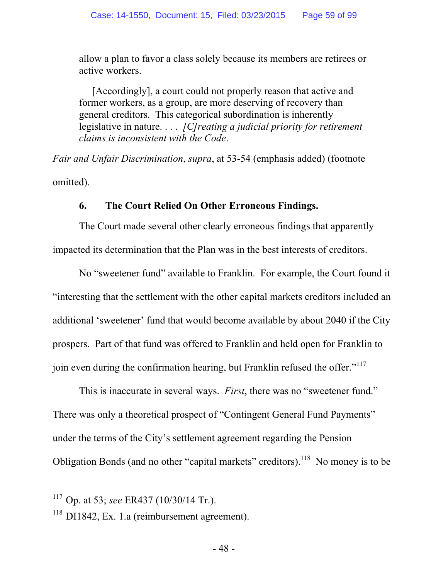allow a plan to favor a class solely because its members are retirees or active workers.

[Accordingly], a court could not properly reason that active and former workers, as a group, are more deserving of recovery than general creditors. This categorical subordination is inherently legislative in nature. . . . *[C]reating a judicial priority for retirement claims is inconsistent with the Code*.

*Fair and Unfair Discrimination*, *supra*, at 53-54 (emphasis added) (footnote omitted).

#### **6. The Court Relied On Other Erroneous Findings.**

The Court made several other clearly erroneous findings that apparently impacted its determination that the Plan was in the best interests of creditors.

No "sweetener fund" available to Franklin. For example, the Court found it "interesting that the settlement with the other capital markets creditors included an additional 'sweetener' fund that would become available by about 2040 if the City prospers. Part of that fund was offered to Franklin and held open for Franklin to join even during the confirmation hearing, but Franklin refused the offer."<sup>117</sup>

This is inaccurate in several ways. *First*, there was no "sweetener fund." There was only a theoretical prospect of "Contingent General Fund Payments" under the terms of the City's settlement agreement regarding the Pension Obligation Bonds (and no other "capital markets" creditors).<sup>118</sup> No money is to be

<sup>117</sup> Op. at 53; *see* ER437 (10/30/14 Tr.).

 $118$  DI1842, Ex. 1.a (reimbursement agreement).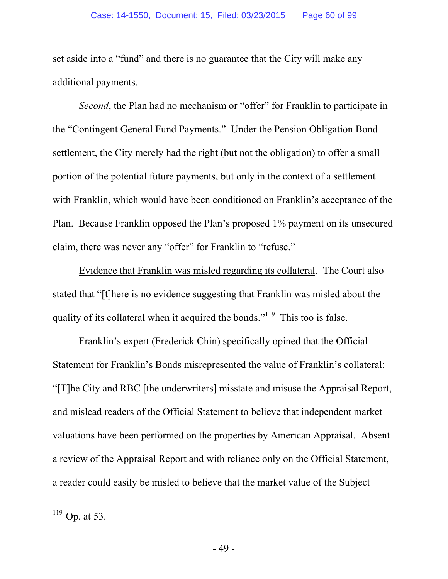set aside into a "fund" and there is no guarantee that the City will make any additional payments.

*Second*, the Plan had no mechanism or "offer" for Franklin to participate in the "Contingent General Fund Payments." Under the Pension Obligation Bond settlement, the City merely had the right (but not the obligation) to offer a small portion of the potential future payments, but only in the context of a settlement with Franklin, which would have been conditioned on Franklin's acceptance of the Plan. Because Franklin opposed the Plan's proposed 1% payment on its unsecured claim, there was never any "offer" for Franklin to "refuse."

Evidence that Franklin was misled regarding its collateral. The Court also stated that "[t]here is no evidence suggesting that Franklin was misled about the quality of its collateral when it acquired the bonds."<sup>119</sup> This too is false.

Franklin's expert (Frederick Chin) specifically opined that the Official Statement for Franklin's Bonds misrepresented the value of Franklin's collateral: "[T]he City and RBC [the underwriters] misstate and misuse the Appraisal Report, and mislead readers of the Official Statement to believe that independent market valuations have been performed on the properties by American Appraisal. Absent a review of the Appraisal Report and with reliance only on the Official Statement, a reader could easily be misled to believe that the market value of the Subject

 $^{119}$  Op. at 53.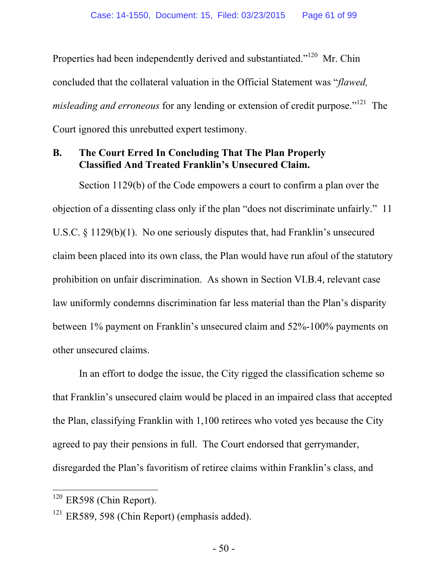Properties had been independently derived and substantiated."<sup>120</sup> Mr. Chin concluded that the collateral valuation in the Official Statement was "*flawed, misleading and erroneous* for any lending or extension of credit purpose."<sup>121</sup> The Court ignored this unrebutted expert testimony.

## **B. The Court Erred In Concluding That The Plan Properly Classified And Treated Franklin's Unsecured Claim.**

Section 1129(b) of the Code empowers a court to confirm a plan over the objection of a dissenting class only if the plan "does not discriminate unfairly." 11 U.S.C. § 1129(b)(1). No one seriously disputes that, had Franklin's unsecured claim been placed into its own class, the Plan would have run afoul of the statutory prohibition on unfair discrimination. As shown in Section VI.B.4, relevant case law uniformly condemns discrimination far less material than the Plan's disparity between 1% payment on Franklin's unsecured claim and 52%-100% payments on other unsecured claims.

In an effort to dodge the issue, the City rigged the classification scheme so that Franklin's unsecured claim would be placed in an impaired class that accepted the Plan, classifying Franklin with 1,100 retirees who voted yes because the City agreed to pay their pensions in full. The Court endorsed that gerrymander, disregarded the Plan's favoritism of retiree claims within Franklin's class, and

 $120$  ER598 (Chin Report).

 $121$  ER589, 598 (Chin Report) (emphasis added).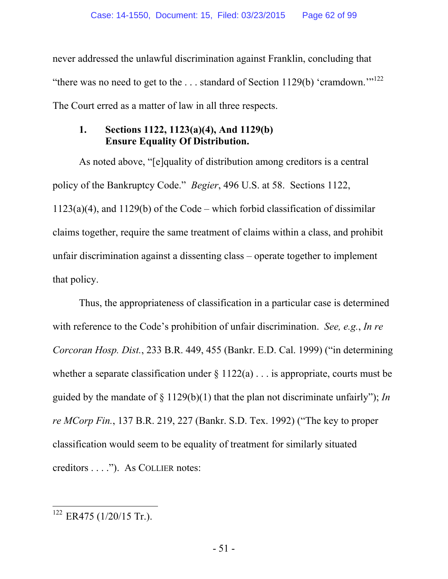never addressed the unlawful discrimination against Franklin, concluding that "there was no need to get to the  $\dots$  standard of Section 1129(b) 'cramdown."<sup>122</sup> The Court erred as a matter of law in all three respects.

### **1. Sections 1122, 1123(a)(4), And 1129(b) Ensure Equality Of Distribution.**

As noted above, "[e]quality of distribution among creditors is a central policy of the Bankruptcy Code." *Begier*, 496 U.S. at 58. Sections 1122, 1123(a)(4), and 1129(b) of the Code – which forbid classification of dissimilar claims together, require the same treatment of claims within a class, and prohibit unfair discrimination against a dissenting class – operate together to implement that policy.

Thus, the appropriateness of classification in a particular case is determined with reference to the Code's prohibition of unfair discrimination. *See, e.g.*, *In re Corcoran Hosp. Dist.*, 233 B.R. 449, 455 (Bankr. E.D. Cal. 1999) ("in determining whether a separate classification under  $\S 1122(a)$ ... is appropriate, courts must be guided by the mandate of § 1129(b)(1) that the plan not discriminate unfairly"); *In re MCorp Fin.*, 137 B.R. 219, 227 (Bankr. S.D. Tex. 1992) ("The key to proper classification would seem to be equality of treatment for similarly situated creditors . . . ."). As COLLIER notes:

 $\overline{a}$  $122$  ER475 (1/20/15 Tr.).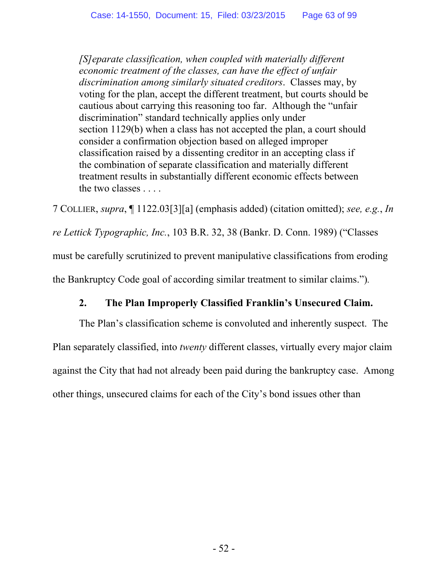*[S]eparate classification, when coupled with materially different economic treatment of the classes, can have the effect of unfair discrimination among similarly situated creditors*. Classes may, by voting for the plan, accept the different treatment, but courts should be cautious about carrying this reasoning too far. Although the "unfair discrimination" standard technically applies only under section 1129(b) when a class has not accepted the plan, a court should consider a confirmation objection based on alleged improper classification raised by a dissenting creditor in an accepting class if the combination of separate classification and materially different treatment results in substantially different economic effects between the two classes . . . .

7 COLLIER, *supra*, ¶ 1122.03[3][a] (emphasis added) (citation omitted); *see, e.g.*, *In re Lettick Typographic, Inc.*, 103 B.R. 32, 38 (Bankr. D. Conn. 1989) ("Classes must be carefully scrutinized to prevent manipulative classifications from eroding the Bankruptcy Code goal of according similar treatment to similar claims.")*.* 

# **2. The Plan Improperly Classified Franklin's Unsecured Claim.**

The Plan's classification scheme is convoluted and inherently suspect. The Plan separately classified, into *twenty* different classes, virtually every major claim against the City that had not already been paid during the bankruptcy case. Among other things, unsecured claims for each of the City's bond issues other than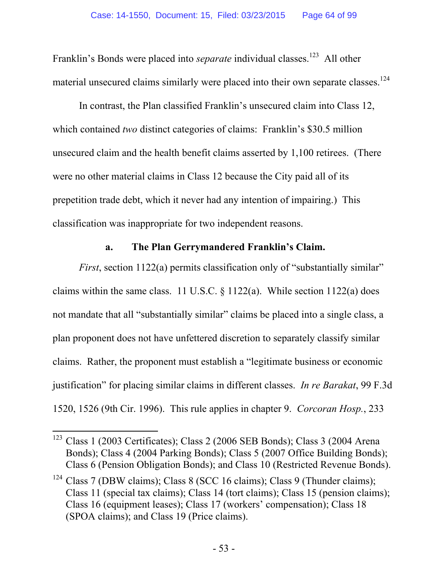Franklin's Bonds were placed into *separate* individual classes.<sup>123</sup> All other material unsecured claims similarly were placed into their own separate classes.<sup>124</sup>

In contrast, the Plan classified Franklin's unsecured claim into Class 12, which contained *two* distinct categories of claims: Franklin's \$30.5 million unsecured claim and the health benefit claims asserted by 1,100 retirees. (There were no other material claims in Class 12 because the City paid all of its prepetition trade debt, which it never had any intention of impairing.) This classification was inappropriate for two independent reasons.

#### **a. The Plan Gerrymandered Franklin's Claim.**

*First*, section 1122(a) permits classification only of "substantially similar" claims within the same class. 11 U.S.C. § 1122(a). While section 1122(a) does not mandate that all "substantially similar" claims be placed into a single class, a plan proponent does not have unfettered discretion to separately classify similar claims. Rather, the proponent must establish a "legitimate business or economic justification" for placing similar claims in different classes. *In re Barakat*, 99 F.3d 1520, 1526 (9th Cir. 1996). This rule applies in chapter 9. *Corcoran Hosp.*, 233

<sup>&</sup>lt;sup>123</sup> Class 1 (2003 Certificates); Class 2 (2006 SEB Bonds); Class 3 (2004 Arena Bonds); Class 4 (2004 Parking Bonds); Class 5 (2007 Office Building Bonds); Class 6 (Pension Obligation Bonds); and Class 10 (Restricted Revenue Bonds).

 $124$  Class 7 (DBW claims); Class 8 (SCC 16 claims); Class 9 (Thunder claims); Class 11 (special tax claims); Class 14 (tort claims); Class 15 (pension claims); Class 16 (equipment leases); Class 17 (workers' compensation); Class 18 (SPOA claims); and Class 19 (Price claims).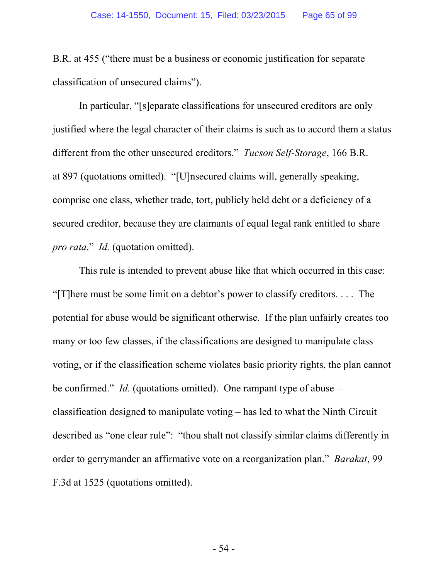B.R. at 455 ("there must be a business or economic justification for separate classification of unsecured claims").

In particular, "[s]eparate classifications for unsecured creditors are only justified where the legal character of their claims is such as to accord them a status different from the other unsecured creditors." *Tucson Self-Storage*, 166 B.R. at 897 (quotations omitted). "[U]nsecured claims will, generally speaking, comprise one class, whether trade, tort, publicly held debt or a deficiency of a secured creditor, because they are claimants of equal legal rank entitled to share *pro rata*." *Id.* (quotation omitted).

This rule is intended to prevent abuse like that which occurred in this case: "[T]here must be some limit on a debtor's power to classify creditors. . . . The potential for abuse would be significant otherwise. If the plan unfairly creates too many or too few classes, if the classifications are designed to manipulate class voting, or if the classification scheme violates basic priority rights, the plan cannot be confirmed." *Id.* (quotations omitted). One rampant type of abuse – classification designed to manipulate voting – has led to what the Ninth Circuit described as "one clear rule": "thou shalt not classify similar claims differently in order to gerrymander an affirmative vote on a reorganization plan." *Barakat*, 99 F.3d at 1525 (quotations omitted).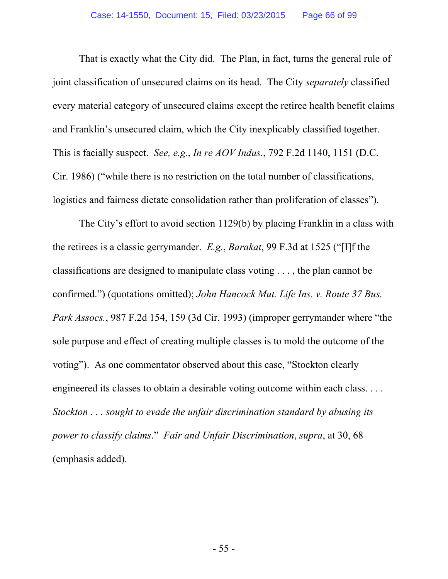That is exactly what the City did. The Plan, in fact, turns the general rule of joint classification of unsecured claims on its head. The City *separately* classified every material category of unsecured claims except the retiree health benefit claims and Franklin's unsecured claim, which the City inexplicably classified together. This is facially suspect. *See, e.g.*, *In re AOV Indus.*, 792 F.2d 1140, 1151 (D.C. Cir. 1986) ("while there is no restriction on the total number of classifications, logistics and fairness dictate consolidation rather than proliferation of classes").

The City's effort to avoid section 1129(b) by placing Franklin in a class with the retirees is a classic gerrymander. *E.g.*, *Barakat*, 99 F.3d at 1525 ("[I]f the classifications are designed to manipulate class voting . . . , the plan cannot be confirmed.") (quotations omitted); *John Hancock Mut. Life Ins. v. Route 37 Bus. Park Assocs.*, 987 F.2d 154, 159 (3d Cir. 1993) (improper gerrymander where "the sole purpose and effect of creating multiple classes is to mold the outcome of the voting"). As one commentator observed about this case, "Stockton clearly engineered its classes to obtain a desirable voting outcome within each class. . . . *Stockton . . . sought to evade the unfair discrimination standard by abusing its power to classify claims*." *Fair and Unfair Discrimination*, *supra*, at 30, 68 (emphasis added).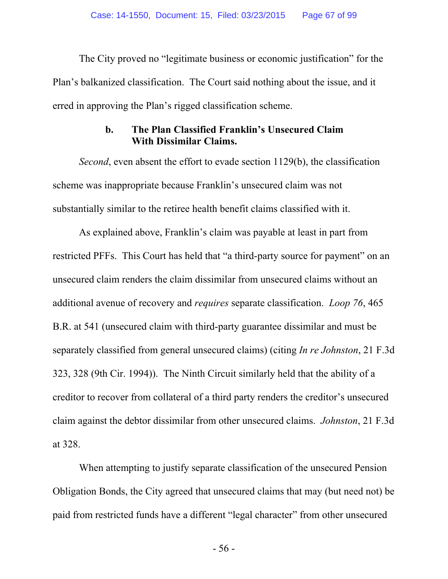The City proved no "legitimate business or economic justification" for the Plan's balkanized classification. The Court said nothing about the issue, and it erred in approving the Plan's rigged classification scheme.

#### **b. The Plan Classified Franklin's Unsecured Claim With Dissimilar Claims.**

*Second*, even absent the effort to evade section 1129(b), the classification scheme was inappropriate because Franklin's unsecured claim was not substantially similar to the retiree health benefit claims classified with it.

As explained above, Franklin's claim was payable at least in part from restricted PFFs. This Court has held that "a third-party source for payment" on an unsecured claim renders the claim dissimilar from unsecured claims without an additional avenue of recovery and *requires* separate classification. *Loop 76*, 465 B.R. at 541 (unsecured claim with third-party guarantee dissimilar and must be separately classified from general unsecured claims) (citing *In re Johnston*, 21 F.3d 323, 328 (9th Cir. 1994)). The Ninth Circuit similarly held that the ability of a creditor to recover from collateral of a third party renders the creditor's unsecured claim against the debtor dissimilar from other unsecured claims. *Johnston*, 21 F.3d at 328.

When attempting to justify separate classification of the unsecured Pension Obligation Bonds, the City agreed that unsecured claims that may (but need not) be paid from restricted funds have a different "legal character" from other unsecured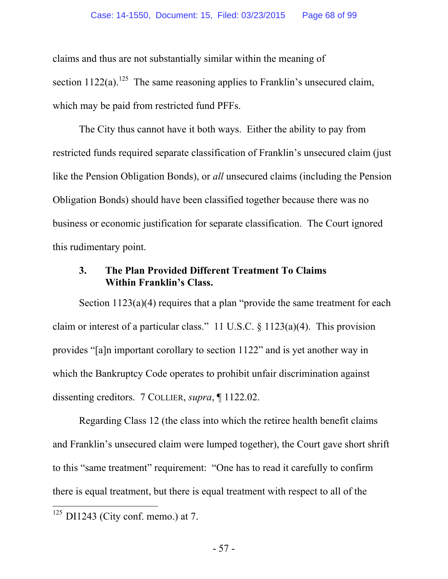claims and thus are not substantially similar within the meaning of section  $1122(a)$ .<sup>125</sup> The same reasoning applies to Franklin's unsecured claim, which may be paid from restricted fund PFFs.

The City thus cannot have it both ways. Either the ability to pay from restricted funds required separate classification of Franklin's unsecured claim (just like the Pension Obligation Bonds), or *all* unsecured claims (including the Pension Obligation Bonds) should have been classified together because there was no business or economic justification for separate classification. The Court ignored this rudimentary point.

#### **3. The Plan Provided Different Treatment To Claims Within Franklin's Class.**

Section  $1123(a)(4)$  requires that a plan "provide the same treatment for each claim or interest of a particular class." 11 U.S.C.  $\S$  1123(a)(4). This provision provides "[a]n important corollary to section 1122" and is yet another way in which the Bankruptcy Code operates to prohibit unfair discrimination against dissenting creditors. 7 COLLIER, *supra*, ¶ 1122.02.

Regarding Class 12 (the class into which the retiree health benefit claims and Franklin's unsecured claim were lumped together), the Court gave short shrift to this "same treatment" requirement: "One has to read it carefully to confirm there is equal treatment, but there is equal treatment with respect to all of the

 $125$  DI1243 (City conf. memo.) at 7.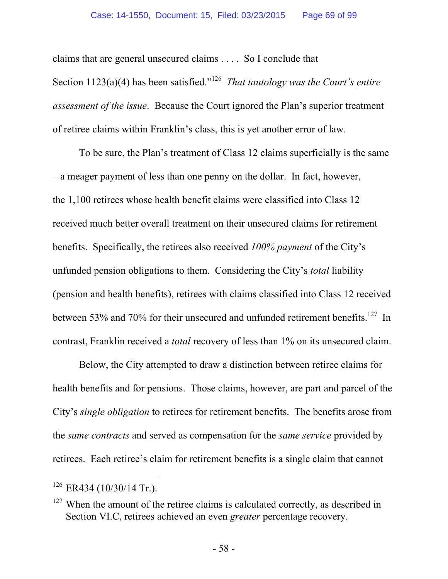claims that are general unsecured claims . . . . So I conclude that Section 1123(a)(4) has been satisfied."126 *That tautology was the Court's entire assessment of the issue*. Because the Court ignored the Plan's superior treatment of retiree claims within Franklin's class, this is yet another error of law.

To be sure, the Plan's treatment of Class 12 claims superficially is the same – a meager payment of less than one penny on the dollar. In fact, however, the 1,100 retirees whose health benefit claims were classified into Class 12 received much better overall treatment on their unsecured claims for retirement benefits. Specifically, the retirees also received *100% payment* of the City's unfunded pension obligations to them. Considering the City's *total* liability (pension and health benefits), retirees with claims classified into Class 12 received between 53% and 70% for their unsecured and unfunded retirement benefits.<sup>127</sup> In contrast, Franklin received a *total* recovery of less than 1% on its unsecured claim.

Below, the City attempted to draw a distinction between retiree claims for health benefits and for pensions. Those claims, however, are part and parcel of the City's *single obligation* to retirees for retirement benefits. The benefits arose from the *same contracts* and served as compensation for the *same service* provided by retirees. Each retiree's claim for retirement benefits is a single claim that cannot

 $126$  ER434 (10/30/14 Tr.).

 $127$  When the amount of the retiree claims is calculated correctly, as described in Section VI.C, retirees achieved an even *greater* percentage recovery.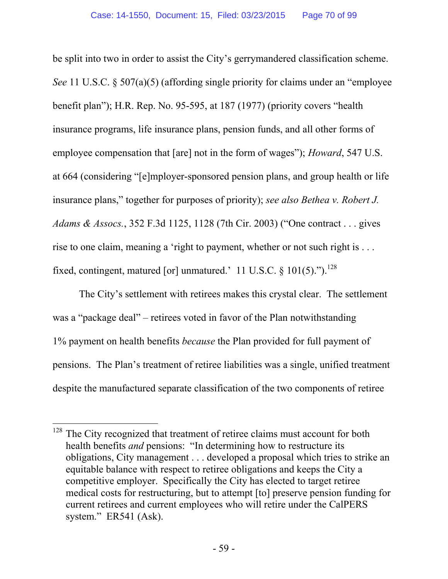be split into two in order to assist the City's gerrymandered classification scheme. *See* 11 U.S.C. § 507(a)(5) (affording single priority for claims under an "employee benefit plan"); H.R. Rep. No. 95-595, at 187 (1977) (priority covers "health insurance programs, life insurance plans, pension funds, and all other forms of employee compensation that [are] not in the form of wages"); *Howard*, 547 U.S. at 664 (considering "[e]mployer-sponsored pension plans, and group health or life insurance plans," together for purposes of priority); *see also Bethea v. Robert J. Adams & Assocs.*, 352 F.3d 1125, 1128 (7th Cir. 2003) ("One contract . . . gives rise to one claim, meaning a 'right to payment, whether or not such right is . . . fixed, contingent, matured [or] unmatured.' 11 U.S.C.  $\S$  101(5).").<sup>128</sup>

The City's settlement with retirees makes this crystal clear. The settlement was a "package deal" – retirees voted in favor of the Plan notwithstanding 1% payment on health benefits *because* the Plan provided for full payment of pensions. The Plan's treatment of retiree liabilities was a single, unified treatment despite the manufactured separate classification of the two components of retiree

 $128$  The City recognized that treatment of retiree claims must account for both health benefits *and* pensions: "In determining how to restructure its obligations, City management . . . developed a proposal which tries to strike an equitable balance with respect to retiree obligations and keeps the City a competitive employer. Specifically the City has elected to target retiree medical costs for restructuring, but to attempt [to] preserve pension funding for current retirees and current employees who will retire under the CalPERS system." ER541 (Ask).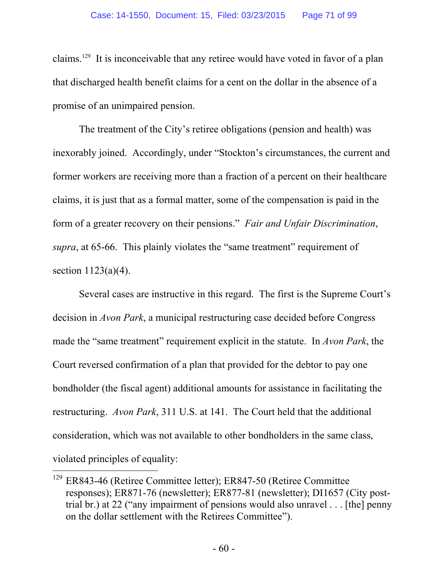claims.129 It is inconceivable that any retiree would have voted in favor of a plan that discharged health benefit claims for a cent on the dollar in the absence of a promise of an unimpaired pension.

The treatment of the City's retiree obligations (pension and health) was inexorably joined. Accordingly, under "Stockton's circumstances, the current and former workers are receiving more than a fraction of a percent on their healthcare claims, it is just that as a formal matter, some of the compensation is paid in the form of a greater recovery on their pensions." *Fair and Unfair Discrimination*, *supra*, at 65-66. This plainly violates the "same treatment" requirement of section 1123(a)(4).

Several cases are instructive in this regard. The first is the Supreme Court's decision in *Avon Park*, a municipal restructuring case decided before Congress made the "same treatment" requirement explicit in the statute. In *Avon Park*, the Court reversed confirmation of a plan that provided for the debtor to pay one bondholder (the fiscal agent) additional amounts for assistance in facilitating the restructuring. *Avon Park*, 311 U.S. at 141. The Court held that the additional consideration, which was not available to other bondholders in the same class, violated principles of equality:

<sup>129</sup> ER843-46 (Retiree Committee letter); ER847-50 (Retiree Committee responses); ER871-76 (newsletter); ER877-81 (newsletter); DI1657 (City posttrial br.) at 22 ("any impairment of pensions would also unravel . . . [the] penny on the dollar settlement with the Retirees Committee").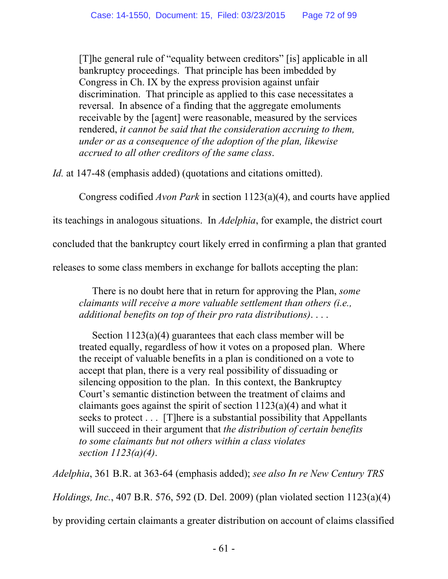[T]he general rule of "equality between creditors" [is] applicable in all bankruptcy proceedings. That principle has been imbedded by Congress in Ch. IX by the express provision against unfair discrimination. That principle as applied to this case necessitates a reversal. In absence of a finding that the aggregate emoluments receivable by the [agent] were reasonable, measured by the services rendered, *it cannot be said that the consideration accruing to them, under or as a consequence of the adoption of the plan, likewise accrued to all other creditors of the same class*.

*Id.* at 147-48 (emphasis added) (quotations and citations omitted).

Congress codified *Avon Park* in section 1123(a)(4), and courts have applied

its teachings in analogous situations. In *Adelphia*, for example, the district court

concluded that the bankruptcy court likely erred in confirming a plan that granted

releases to some class members in exchange for ballots accepting the plan:

There is no doubt here that in return for approving the Plan, *some claimants will receive a more valuable settlement than others (i.e., additional benefits on top of their pro rata distributions)*. . . .

Section 1123(a)(4) guarantees that each class member will be treated equally, regardless of how it votes on a proposed plan. Where the receipt of valuable benefits in a plan is conditioned on a vote to accept that plan, there is a very real possibility of dissuading or silencing opposition to the plan. In this context, the Bankruptcy Court's semantic distinction between the treatment of claims and claimants goes against the spirit of section 1123(a)(4) and what it seeks to protect . . . [T]here is a substantial possibility that Appellants will succeed in their argument that *the distribution of certain benefits to some claimants but not others within a class violates section 1123(a)(4)*.

*Adelphia*, 361 B.R. at 363-64 (emphasis added); *see also In re New Century TRS* 

*Holdings, Inc.*, 407 B.R. 576, 592 (D. Del. 2009) (plan violated section 1123(a)(4)

by providing certain claimants a greater distribution on account of claims classified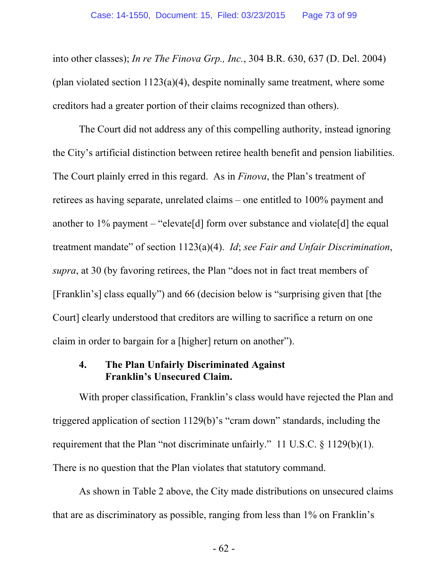into other classes); *In re The Finova Grp., Inc.*, 304 B.R. 630, 637 (D. Del. 2004) (plan violated section  $1123(a)(4)$ , despite nominally same treatment, where some creditors had a greater portion of their claims recognized than others).

The Court did not address any of this compelling authority, instead ignoring the City's artificial distinction between retiree health benefit and pension liabilities. The Court plainly erred in this regard. As in *Finova*, the Plan's treatment of retirees as having separate, unrelated claims – one entitled to 100% payment and another to 1% payment – "elevate<sup>[d]</sup> form over substance and violate<sup>[d]</sup> the equal treatment mandate" of section 1123(a)(4). *Id*; *see Fair and Unfair Discrimination*, *supra*, at 30 (by favoring retirees, the Plan "does not in fact treat members of [Franklin's] class equally") and 66 (decision below is "surprising given that [the Court] clearly understood that creditors are willing to sacrifice a return on one claim in order to bargain for a [higher] return on another").

#### **4. The Plan Unfairly Discriminated Against Franklin's Unsecured Claim.**

With proper classification, Franklin's class would have rejected the Plan and triggered application of section 1129(b)'s "cram down" standards, including the requirement that the Plan "not discriminate unfairly." 11 U.S.C. § 1129(b)(1). There is no question that the Plan violates that statutory command.

As shown in Table 2 above, the City made distributions on unsecured claims that are as discriminatory as possible, ranging from less than 1% on Franklin's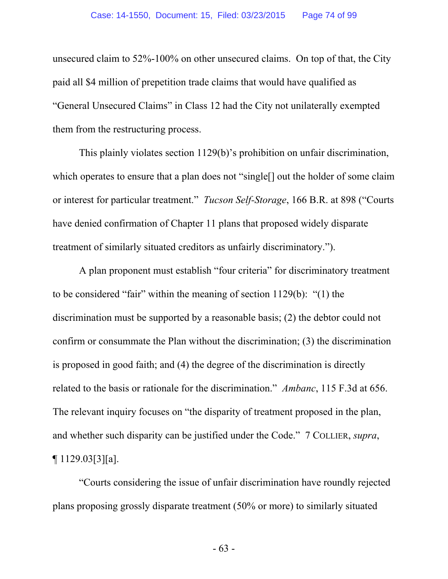unsecured claim to 52%-100% on other unsecured claims. On top of that, the City paid all \$4 million of prepetition trade claims that would have qualified as "General Unsecured Claims" in Class 12 had the City not unilaterally exempted them from the restructuring process.

This plainly violates section 1129(b)'s prohibition on unfair discrimination, which operates to ensure that a plan does not "single<sup>[]</sup> out the holder of some claim or interest for particular treatment." *Tucson Self-Storage*, 166 B.R. at 898 ("Courts have denied confirmation of Chapter 11 plans that proposed widely disparate treatment of similarly situated creditors as unfairly discriminatory.").

A plan proponent must establish "four criteria" for discriminatory treatment to be considered "fair" within the meaning of section 1129(b): "(1) the discrimination must be supported by a reasonable basis; (2) the debtor could not confirm or consummate the Plan without the discrimination; (3) the discrimination is proposed in good faith; and (4) the degree of the discrimination is directly related to the basis or rationale for the discrimination." *Ambanc*, 115 F.3d at 656. The relevant inquiry focuses on "the disparity of treatment proposed in the plan, and whether such disparity can be justified under the Code." 7 COLLIER, *supra*, ¶ 1129.03[3][a].

"Courts considering the issue of unfair discrimination have roundly rejected plans proposing grossly disparate treatment (50% or more) to similarly situated

- 63 -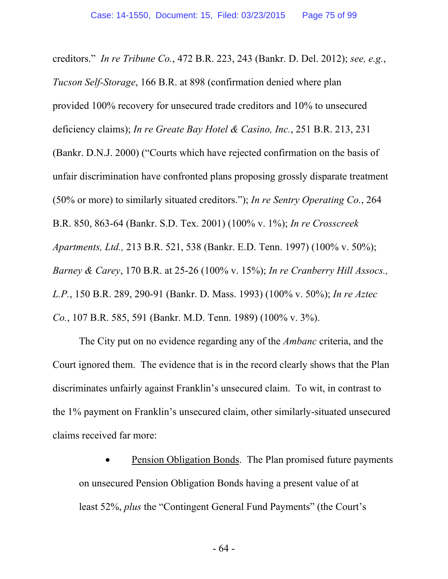creditors." *In re Tribune Co.*, 472 B.R. 223, 243 (Bankr. D. Del. 2012); *see, e.g.*, *Tucson Self-Storage*, 166 B.R. at 898 (confirmation denied where plan provided 100% recovery for unsecured trade creditors and 10% to unsecured deficiency claims); *In re Greate Bay Hotel & Casino, Inc.*, 251 B.R. 213, 231 (Bankr. D.N.J. 2000) ("Courts which have rejected confirmation on the basis of unfair discrimination have confronted plans proposing grossly disparate treatment (50% or more) to similarly situated creditors."); *In re Sentry Operating Co.*, 264 B.R. 850, 863-64 (Bankr. S.D. Tex. 2001) (100% v. 1%); *In re Crosscreek Apartments, Ltd.,* 213 B.R. 521, 538 (Bankr. E.D. Tenn. 1997) (100% v. 50%); *Barney & Carey*, 170 B.R. at 25-26 (100% v. 15%); *In re Cranberry Hill Assocs., L.P.*, 150 B.R. 289, 290-91 (Bankr. D. Mass. 1993) (100% v. 50%); *In re Aztec Co.*, 107 B.R. 585, 591 (Bankr. M.D. Tenn. 1989) (100% v. 3%).

The City put on no evidence regarding any of the *Ambanc* criteria, and the Court ignored them. The evidence that is in the record clearly shows that the Plan discriminates unfairly against Franklin's unsecured claim. To wit, in contrast to the 1% payment on Franklin's unsecured claim, other similarly-situated unsecured claims received far more:

 Pension Obligation Bonds. The Plan promised future payments on unsecured Pension Obligation Bonds having a present value of at least 52%, *plus* the "Contingent General Fund Payments" (the Court's

- 64 -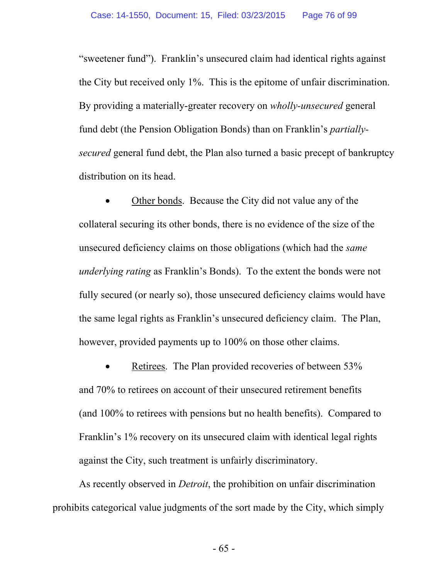"sweetener fund"). Franklin's unsecured claim had identical rights against the City but received only 1%. This is the epitome of unfair discrimination. By providing a materially-greater recovery on *wholly-unsecured* general fund debt (the Pension Obligation Bonds) than on Franklin's *partiallysecured* general fund debt, the Plan also turned a basic precept of bankruptcy distribution on its head.

 Other bonds. Because the City did not value any of the collateral securing its other bonds, there is no evidence of the size of the unsecured deficiency claims on those obligations (which had the *same underlying rating* as Franklin's Bonds). To the extent the bonds were not fully secured (or nearly so), those unsecured deficiency claims would have the same legal rights as Franklin's unsecured deficiency claim. The Plan, however, provided payments up to 100% on those other claims.

 Retirees. The Plan provided recoveries of between 53% and 70% to retirees on account of their unsecured retirement benefits (and 100% to retirees with pensions but no health benefits). Compared to Franklin's 1% recovery on its unsecured claim with identical legal rights against the City, such treatment is unfairly discriminatory.

As recently observed in *Detroit*, the prohibition on unfair discrimination prohibits categorical value judgments of the sort made by the City, which simply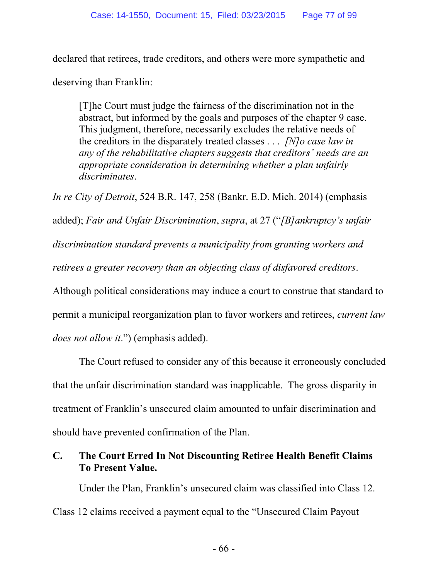declared that retirees, trade creditors, and others were more sympathetic and

deserving than Franklin:

[T]he Court must judge the fairness of the discrimination not in the abstract, but informed by the goals and purposes of the chapter 9 case. This judgment, therefore, necessarily excludes the relative needs of the creditors in the disparately treated classes . . . *[N]o case law in any of the rehabilitative chapters suggests that creditors' needs are an appropriate consideration in determining whether a plan unfairly discriminates*.

*In re City of Detroit*, 524 B.R. 147, 258 (Bankr. E.D. Mich. 2014) (emphasis

added); *Fair and Unfair Discrimination*, *supra*, at 27 ("*[B]ankruptcy's unfair* 

*discrimination standard prevents a municipality from granting workers and* 

*retirees a greater recovery than an objecting class of disfavored creditors*.

Although political considerations may induce a court to construe that standard to

permit a municipal reorganization plan to favor workers and retirees, *current law* 

*does not allow it*.") (emphasis added).

The Court refused to consider any of this because it erroneously concluded that the unfair discrimination standard was inapplicable. The gross disparity in treatment of Franklin's unsecured claim amounted to unfair discrimination and should have prevented confirmation of the Plan.

# **C. The Court Erred In Not Discounting Retiree Health Benefit Claims To Present Value.**

Under the Plan, Franklin's unsecured claim was classified into Class 12. Class 12 claims received a payment equal to the "Unsecured Claim Payout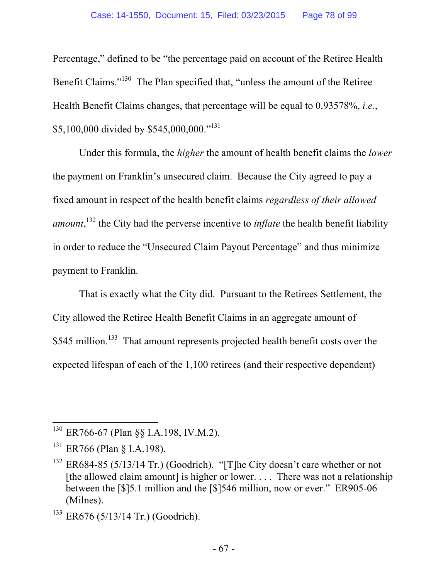Percentage," defined to be "the percentage paid on account of the Retiree Health Benefit Claims."<sup>130</sup> The Plan specified that, "unless the amount of the Retiree" Health Benefit Claims changes, that percentage will be equal to 0.93578%, *i.e.*, \$5,100,000 divided by \$545,000,000."<sup>131</sup>

Under this formula, the *higher* the amount of health benefit claims the *lower* the payment on Franklin's unsecured claim. Because the City agreed to pay a fixed amount in respect of the health benefit claims *regardless of their allowed amount*, 132 the City had the perverse incentive to *inflate* the health benefit liability in order to reduce the "Unsecured Claim Payout Percentage" and thus minimize payment to Franklin.

That is exactly what the City did. Pursuant to the Retirees Settlement, the City allowed the Retiree Health Benefit Claims in an aggregate amount of \$545 million.<sup>133</sup> That amount represents projected health benefit costs over the expected lifespan of each of the 1,100 retirees (and their respective dependent)

<sup>130</sup> ER766-67 (Plan §§ I.A.198, IV.M.2).

<sup>131</sup> ER766 (Plan § I.A.198).

<sup>&</sup>lt;sup>132</sup> ER684-85 (5/13/14 Tr.) (Goodrich). "[T]he City doesn't care whether or not [the allowed claim amount] is higher or lower. . . . There was not a relationship between the [\$]5.1 million and the [\$]546 million, now or ever." ER905-06 (Milnes).

 $133$  ER676 (5/13/14 Tr.) (Goodrich).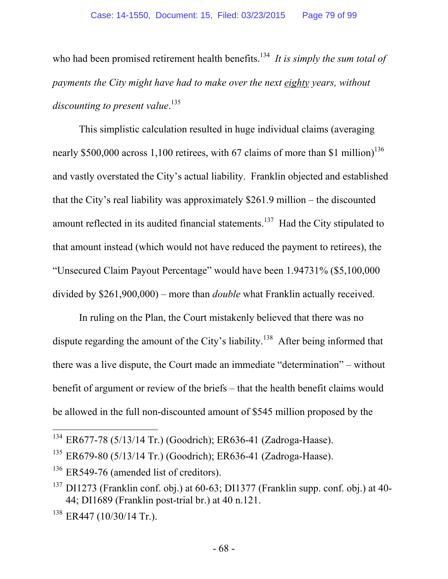who had been promised retirement health benefits.<sup>134</sup> It is simply the sum total of *payments the City might have had to make over the next eighty years, without discounting to present value*. 135

This simplistic calculation resulted in huge individual claims (averaging nearly \$500,000 across 1,100 retirees, with 67 claims of more than \$1 million)<sup>136</sup> and vastly overstated the City's actual liability. Franklin objected and established that the City's real liability was approximately \$261.9 million – the discounted amount reflected in its audited financial statements.<sup>137</sup> Had the City stipulated to that amount instead (which would not have reduced the payment to retirees), the "Unsecured Claim Payout Percentage" would have been 1.94731% (\$5,100,000 divided by \$261,900,000) – more than *double* what Franklin actually received.

In ruling on the Plan, the Court mistakenly believed that there was no dispute regarding the amount of the City's liability.<sup>138</sup> After being informed that there was a live dispute, the Court made an immediate "determination" – without benefit of argument or review of the briefs – that the health benefit claims would be allowed in the full non-discounted amount of \$545 million proposed by the

<sup>&</sup>lt;sup>134</sup> ER677-78 (5/13/14 Tr.) (Goodrich); ER636-41 (Zadroga-Haase).

 $135$  ER679-80 (5/13/14 Tr.) (Goodrich); ER636-41 (Zadroga-Haase).

 $136$  ER549-76 (amended list of creditors).

 $137$  DI1273 (Franklin conf. obj.) at 60-63; DI1377 (Franklin supp. conf. obj.) at 40-44; DI1689 (Franklin post-trial br.) at 40 n.121.

 $138$  ER447 (10/30/14 Tr.).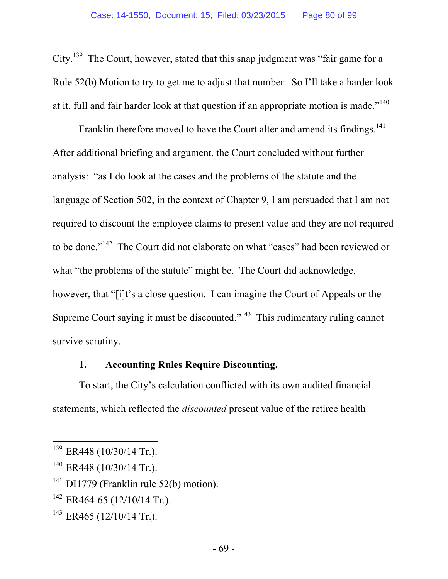City.<sup>139</sup> The Court, however, stated that this snap judgment was "fair game for a Rule 52(b) Motion to try to get me to adjust that number. So I'll take a harder look at it, full and fair harder look at that question if an appropriate motion is made."<sup>140</sup>

Franklin therefore moved to have the Court alter and amend its findings.<sup>141</sup> After additional briefing and argument, the Court concluded without further analysis: "as I do look at the cases and the problems of the statute and the language of Section 502, in the context of Chapter 9, I am persuaded that I am not required to discount the employee claims to present value and they are not required to be done."142 The Court did not elaborate on what "cases" had been reviewed or what "the problems of the statute" might be. The Court did acknowledge, however, that "[i]t's a close question. I can imagine the Court of Appeals or the Supreme Court saying it must be discounted."<sup>143</sup> This rudimentary ruling cannot survive scrutiny.

## **1. Accounting Rules Require Discounting.**

To start, the City's calculation conflicted with its own audited financial statements, which reflected the *discounted* present value of the retiree health

 $\overline{a}$ 

 $142$  ER464-65 (12/10/14 Tr.).

 $139$  ER448 (10/30/14 Tr.).

<sup>&</sup>lt;sup>140</sup> ER448 (10/30/14 Tr.).

 $141$  DI1779 (Franklin rule 52(b) motion).

 $143$  ER465 (12/10/14 Tr.).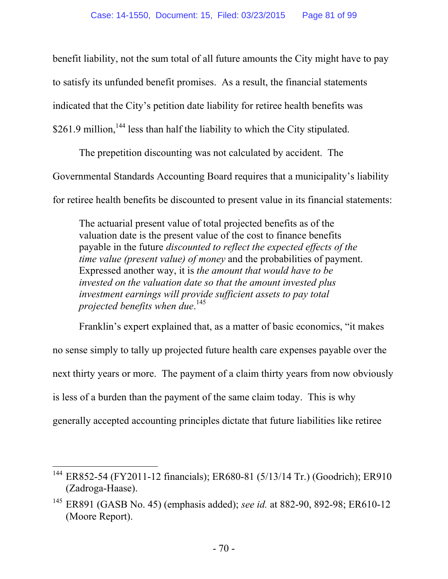benefit liability, not the sum total of all future amounts the City might have to pay

to satisfy its unfunded benefit promises. As a result, the financial statements

indicated that the City's petition date liability for retiree health benefits was

 $$261.9$  million,  $144$  less than half the liability to which the City stipulated.

The prepetition discounting was not calculated by accident. The Governmental Standards Accounting Board requires that a municipality's liability for retiree health benefits be discounted to present value in its financial statements:

The actuarial present value of total projected benefits as of the valuation date is the present value of the cost to finance benefits payable in the future *discounted to reflect the expected effects of the time value (present value) of money* and the probabilities of payment. Expressed another way, it is *the amount that would have to be invested on the valuation date so that the amount invested plus investment earnings will provide sufficient assets to pay total projected benefits when due*. 145

Franklin's expert explained that, as a matter of basic economics, "it makes no sense simply to tally up projected future health care expenses payable over the next thirty years or more. The payment of a claim thirty years from now obviously is less of a burden than the payment of the same claim today. This is why generally accepted accounting principles dictate that future liabilities like retiree

 $\overline{a}$ <sup>144</sup> ER852-54 (FY2011-12 financials); ER680-81 (5/13/14 Tr.) (Goodrich); ER910 (Zadroga-Haase).

<sup>145</sup> ER891 (GASB No. 45) (emphasis added); *see id.* at 882-90, 892-98; ER610-12 (Moore Report).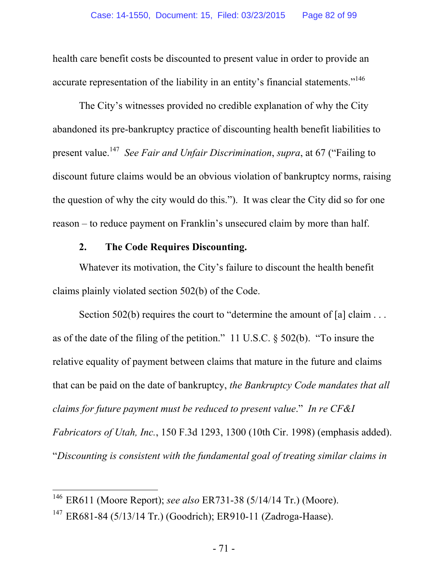health care benefit costs be discounted to present value in order to provide an accurate representation of the liability in an entity's financial statements."<sup>146</sup>

The City's witnesses provided no credible explanation of why the City abandoned its pre-bankruptcy practice of discounting health benefit liabilities to present value.147 *See Fair and Unfair Discrimination*, *supra*, at 67 ("Failing to discount future claims would be an obvious violation of bankruptcy norms, raising the question of why the city would do this."). It was clear the City did so for one reason – to reduce payment on Franklin's unsecured claim by more than half.

## **2. The Code Requires Discounting.**

Whatever its motivation, the City's failure to discount the health benefit claims plainly violated section 502(b) of the Code.

Section 502(b) requires the court to "determine the amount of [a] claim . . . as of the date of the filing of the petition." 11 U.S.C. § 502(b). "To insure the relative equality of payment between claims that mature in the future and claims that can be paid on the date of bankruptcy, *the Bankruptcy Code mandates that all claims for future payment must be reduced to present value*." *In re CF&I Fabricators of Utah, Inc.*, 150 F.3d 1293, 1300 (10th Cir. 1998) (emphasis added). "*Discounting is consistent with the fundamental goal of treating similar claims in* 

<sup>146</sup> ER611 (Moore Report); *see also* ER731-38 (5/14/14 Tr.) (Moore). 147 ER681-84 (5/13/14 Tr.) (Goodrich); ER910-11 (Zadroga-Haase).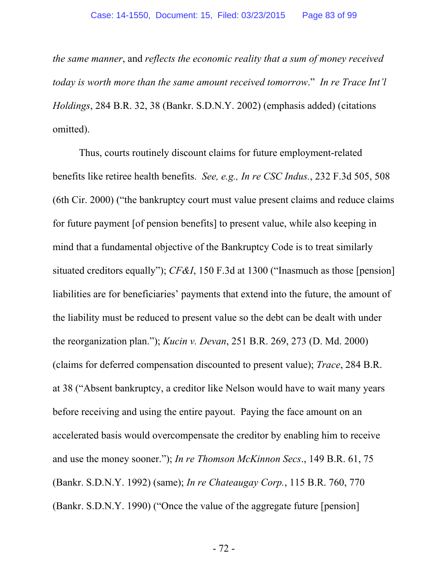*the same manner*, and *reflects the economic reality that a sum of money received today is worth more than the same amount received tomorrow*." *In re Trace Int'l Holdings*, 284 B.R. 32, 38 (Bankr. S.D.N.Y. 2002) (emphasis added) (citations omitted).

Thus, courts routinely discount claims for future employment-related benefits like retiree health benefits. *See, e.g., In re CSC Indus.*, 232 F.3d 505, 508 (6th Cir. 2000) ("the bankruptcy court must value present claims and reduce claims for future payment [of pension benefits] to present value, while also keeping in mind that a fundamental objective of the Bankruptcy Code is to treat similarly situated creditors equally"); *CF&I*, 150 F.3d at 1300 ("Inasmuch as those [pension] liabilities are for beneficiaries' payments that extend into the future, the amount of the liability must be reduced to present value so the debt can be dealt with under the reorganization plan."); *Kucin v. Devan*, 251 B.R. 269, 273 (D. Md. 2000) (claims for deferred compensation discounted to present value); *Trace*, 284 B.R. at 38 ("Absent bankruptcy, a creditor like Nelson would have to wait many years before receiving and using the entire payout. Paying the face amount on an accelerated basis would overcompensate the creditor by enabling him to receive and use the money sooner."); *In re Thomson McKinnon Secs*., 149 B.R. 61, 75 (Bankr. S.D.N.Y. 1992) (same); *In re Chateaugay Corp.*, 115 B.R. 760, 770 (Bankr. S.D.N.Y. 1990) ("Once the value of the aggregate future [pension]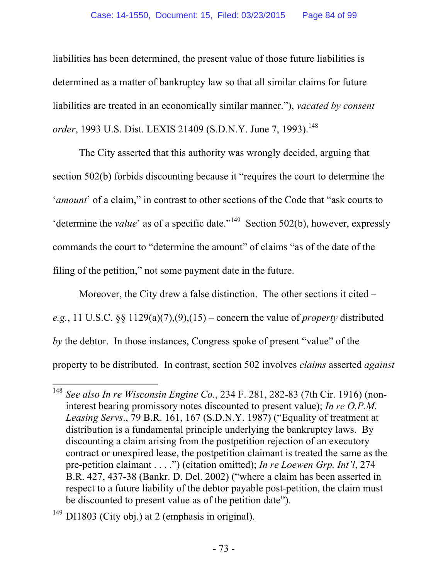liabilities has been determined, the present value of those future liabilities is determined as a matter of bankruptcy law so that all similar claims for future liabilities are treated in an economically similar manner."), *vacated by consent order*, 1993 U.S. Dist. LEXIS 21409 (S.D.N.Y. June 7, 1993).<sup>148</sup>

The City asserted that this authority was wrongly decided, arguing that section 502(b) forbids discounting because it "requires the court to determine the '*amount*' of a claim," in contrast to other sections of the Code that "ask courts to 'determine the *value*' as of a specific date."<sup>149</sup> Section 502(b), however, expressly commands the court to "determine the amount" of claims "as of the date of the filing of the petition," not some payment date in the future.

Moreover, the City drew a false distinction. The other sections it cited – *e.g.*, 11 U.S.C. §§ 1129(a)(7),(9),(15) – concern the value of *property* distributed *by* the debtor. In those instances, Congress spoke of present "value" of the property to be distributed. In contrast, section 502 involves *claims* asserted *against*

 $\overline{a}$ <sup>148</sup> *See also In re Wisconsin Engine Co.*, 234 F. 281, 282-83 (7th Cir. 1916) (noninterest bearing promissory notes discounted to present value); *In re O.P.M. Leasing Servs*., 79 B.R. 161, 167 (S.D.N.Y. 1987) ("Equality of treatment at distribution is a fundamental principle underlying the bankruptcy laws. By discounting a claim arising from the postpetition rejection of an executory contract or unexpired lease, the postpetition claimant is treated the same as the pre-petition claimant . . . .") (citation omitted); *In re Loewen Grp. Int'l*, 274 B.R. 427, 437-38 (Bankr. D. Del. 2002) ("where a claim has been asserted in respect to a future liability of the debtor payable post-petition, the claim must be discounted to present value as of the petition date").

 $149$  DI1803 (City obj.) at 2 (emphasis in original).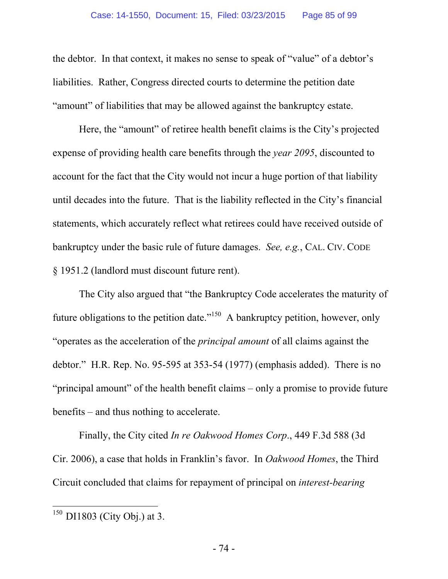the debtor. In that context, it makes no sense to speak of "value" of a debtor's liabilities. Rather, Congress directed courts to determine the petition date "amount" of liabilities that may be allowed against the bankruptcy estate.

Here, the "amount" of retiree health benefit claims is the City's projected expense of providing health care benefits through the *year 2095*, discounted to account for the fact that the City would not incur a huge portion of that liability until decades into the future. That is the liability reflected in the City's financial statements, which accurately reflect what retirees could have received outside of bankruptcy under the basic rule of future damages. *See, e.g.*, CAL. CIV. CODE § 1951.2 (landlord must discount future rent).

The City also argued that "the Bankruptcy Code accelerates the maturity of future obligations to the petition date."<sup>150</sup> A bankruptcy petition, however, only "operates as the acceleration of the *principal amount* of all claims against the debtor." H.R. Rep. No. 95-595 at 353-54 (1977) (emphasis added). There is no "principal amount" of the health benefit claims – only a promise to provide future benefits – and thus nothing to accelerate.

Finally, the City cited *In re Oakwood Homes Corp*., 449 F.3d 588 (3d Cir. 2006), a case that holds in Franklin's favor. In *Oakwood Homes*, the Third Circuit concluded that claims for repayment of principal on *interest-bearing*

 $150$  DI1803 (City Obj.) at 3.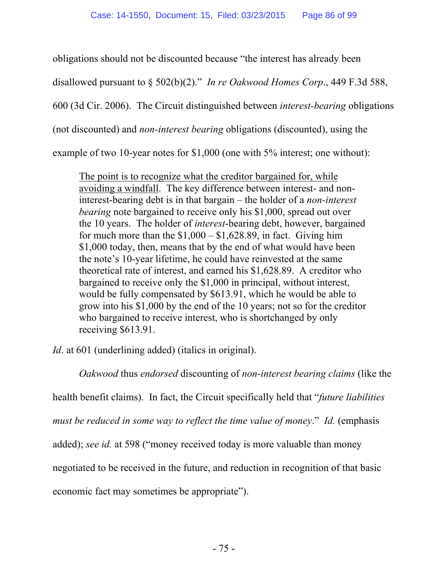obligations should not be discounted because "the interest has already been

disallowed pursuant to § 502(b)(2)." *In re Oakwood Homes Corp*., 449 F.3d 588,

600 (3d Cir. 2006). The Circuit distinguished between *interest-bearing* obligations

(not discounted) and *non-interest bearing* obligations (discounted), using the

example of two 10-year notes for \$1,000 (one with 5% interest; one without):

The point is to recognize what the creditor bargained for, while avoiding a windfall. The key difference between interest- and noninterest-bearing debt is in that bargain – the holder of a *non-interest bearing* note bargained to receive only his \$1,000, spread out over the 10 years. The holder of *interest*-bearing debt, however, bargained for much more than the  $$1,000 - $1,628.89$ , in fact. Giving him \$1,000 today, then, means that by the end of what would have been the note's 10-year lifetime, he could have reinvested at the same theoretical rate of interest, and earned his \$1,628.89. A creditor who bargained to receive only the \$1,000 in principal, without interest, would be fully compensated by \$613.91, which he would be able to grow into his \$1,000 by the end of the 10 years; not so for the creditor who bargained to receive interest, who is shortchanged by only receiving \$613.91.

*Id*. at 601 (underlining added) (italics in original).

*Oakwood* thus *endorsed* discounting of *non-interest bearing claims* (like the health benefit claims). In fact, the Circuit specifically held that "*future liabilities must be reduced in some way to reflect the time value of money*." *Id.* (emphasis added); *see id.* at 598 ("money received today is more valuable than money negotiated to be received in the future, and reduction in recognition of that basic economic fact may sometimes be appropriate").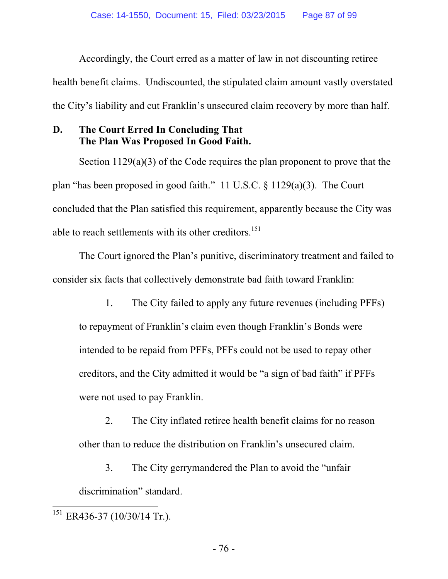Accordingly, the Court erred as a matter of law in not discounting retiree health benefit claims. Undiscounted, the stipulated claim amount vastly overstated the City's liability and cut Franklin's unsecured claim recovery by more than half.

## **D. The Court Erred In Concluding That The Plan Was Proposed In Good Faith.**

Section 1129(a)(3) of the Code requires the plan proponent to prove that the plan "has been proposed in good faith." 11 U.S.C. § 1129(a)(3). The Court concluded that the Plan satisfied this requirement, apparently because the City was able to reach settlements with its other creditors.<sup>151</sup>

The Court ignored the Plan's punitive, discriminatory treatment and failed to consider six facts that collectively demonstrate bad faith toward Franklin:

1. The City failed to apply any future revenues (including PFFs) to repayment of Franklin's claim even though Franklin's Bonds were intended to be repaid from PFFs, PFFs could not be used to repay other creditors, and the City admitted it would be "a sign of bad faith" if PFFs were not used to pay Franklin.

2. The City inflated retiree health benefit claims for no reason other than to reduce the distribution on Franklin's unsecured claim.

3. The City gerrymandered the Plan to avoid the "unfair discrimination" standard.

 $^{151}$  ER436-37 (10/30/14 Tr.).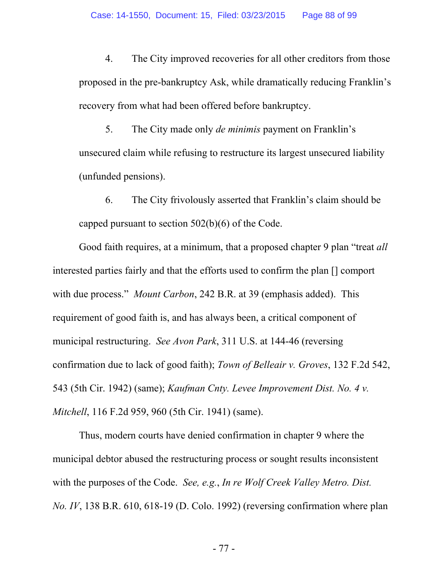4. The City improved recoveries for all other creditors from those proposed in the pre-bankruptcy Ask, while dramatically reducing Franklin's recovery from what had been offered before bankruptcy.

5. The City made only *de minimis* payment on Franklin's unsecured claim while refusing to restructure its largest unsecured liability (unfunded pensions).

6. The City frivolously asserted that Franklin's claim should be capped pursuant to section 502(b)(6) of the Code.

Good faith requires, at a minimum, that a proposed chapter 9 plan "treat *all* interested parties fairly and that the efforts used to confirm the plan [] comport with due process." *Mount Carbon*, 242 B.R. at 39 (emphasis added). This requirement of good faith is, and has always been, a critical component of municipal restructuring. *See Avon Park*, 311 U.S. at 144-46 (reversing confirmation due to lack of good faith); *Town of Belleair v. Groves*, 132 F.2d 542, 543 (5th Cir. 1942) (same); *Kaufman Cnty. Levee Improvement Dist. No. 4 v. Mitchell*, 116 F.2d 959, 960 (5th Cir. 1941) (same).

Thus, modern courts have denied confirmation in chapter 9 where the municipal debtor abused the restructuring process or sought results inconsistent with the purposes of the Code. *See, e.g.*, *In re Wolf Creek Valley Metro. Dist. No. IV*, 138 B.R. 610, 618-19 (D. Colo. 1992) (reversing confirmation where plan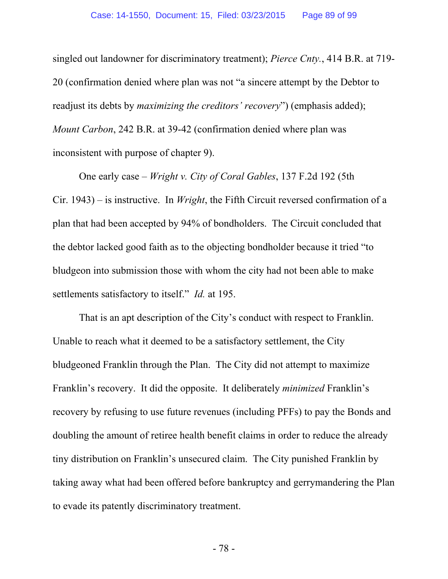singled out landowner for discriminatory treatment); *Pierce Cnty.*, 414 B.R. at 719- 20 (confirmation denied where plan was not "a sincere attempt by the Debtor to readjust its debts by *maximizing the creditors' recovery*") (emphasis added); *Mount Carbon*, 242 B.R. at 39-42 (confirmation denied where plan was inconsistent with purpose of chapter 9).

One early case – *Wright v. City of Coral Gables*, 137 F.2d 192 (5th Cir. 1943) – is instructive. In *Wright*, the Fifth Circuit reversed confirmation of a plan that had been accepted by 94% of bondholders. The Circuit concluded that the debtor lacked good faith as to the objecting bondholder because it tried "to bludgeon into submission those with whom the city had not been able to make settlements satisfactory to itself." *Id.* at 195.

That is an apt description of the City's conduct with respect to Franklin. Unable to reach what it deemed to be a satisfactory settlement, the City bludgeoned Franklin through the Plan. The City did not attempt to maximize Franklin's recovery. It did the opposite. It deliberately *minimized* Franklin's recovery by refusing to use future revenues (including PFFs) to pay the Bonds and doubling the amount of retiree health benefit claims in order to reduce the already tiny distribution on Franklin's unsecured claim. The City punished Franklin by taking away what had been offered before bankruptcy and gerrymandering the Plan to evade its patently discriminatory treatment.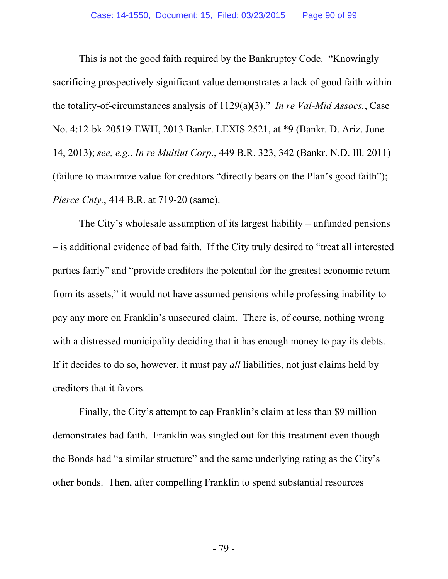This is not the good faith required by the Bankruptcy Code. "Knowingly sacrificing prospectively significant value demonstrates a lack of good faith within the totality-of-circumstances analysis of 1129(a)(3)." *In re Val-Mid Assocs.*, Case No. 4:12-bk-20519-EWH, 2013 Bankr. LEXIS 2521, at \*9 (Bankr. D. Ariz. June 14, 2013); *see, e.g.*, *In re Multiut Corp*., 449 B.R. 323, 342 (Bankr. N.D. Ill. 2011) (failure to maximize value for creditors "directly bears on the Plan's good faith"); *Pierce Cnty.*, 414 B.R. at 719-20 (same).

The City's wholesale assumption of its largest liability – unfunded pensions – is additional evidence of bad faith. If the City truly desired to "treat all interested parties fairly" and "provide creditors the potential for the greatest economic return from its assets," it would not have assumed pensions while professing inability to pay any more on Franklin's unsecured claim. There is, of course, nothing wrong with a distressed municipality deciding that it has enough money to pay its debts. If it decides to do so, however, it must pay *all* liabilities, not just claims held by creditors that it favors.

Finally, the City's attempt to cap Franklin's claim at less than \$9 million demonstrates bad faith. Franklin was singled out for this treatment even though the Bonds had "a similar structure" and the same underlying rating as the City's other bonds. Then, after compelling Franklin to spend substantial resources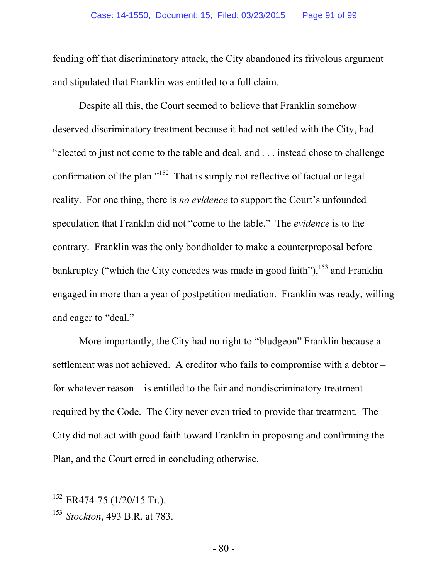fending off that discriminatory attack, the City abandoned its frivolous argument and stipulated that Franklin was entitled to a full claim.

Despite all this, the Court seemed to believe that Franklin somehow deserved discriminatory treatment because it had not settled with the City, had "elected to just not come to the table and deal, and . . . instead chose to challenge confirmation of the plan."<sup>152</sup> That is simply not reflective of factual or legal reality. For one thing, there is *no evidence* to support the Court's unfounded speculation that Franklin did not "come to the table." The *evidence* is to the contrary. Franklin was the only bondholder to make a counterproposal before bankruptcy ("which the City concedes was made in good faith"),  $153$  and Franklin engaged in more than a year of postpetition mediation. Franklin was ready, willing and eager to "deal."

More importantly, the City had no right to "bludgeon" Franklin because a settlement was not achieved. A creditor who fails to compromise with a debtor – for whatever reason – is entitled to the fair and nondiscriminatory treatment required by the Code. The City never even tried to provide that treatment. The City did not act with good faith toward Franklin in proposing and confirming the Plan, and the Court erred in concluding otherwise.

 $152$  ER474-75 (1/20/15 Tr.).

<sup>153</sup> *Stockton*, 493 B.R. at 783.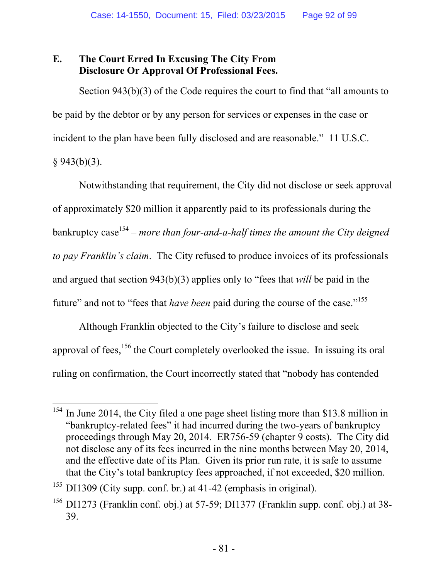## **E. The Court Erred In Excusing The City From Disclosure Or Approval Of Professional Fees.**

Section 943(b)(3) of the Code requires the court to find that "all amounts to be paid by the debtor or by any person for services or expenses in the case or incident to the plan have been fully disclosed and are reasonable." 11 U.S.C.  $§ 943(b)(3).$ 

Notwithstanding that requirement, the City did not disclose or seek approval of approximately \$20 million it apparently paid to its professionals during the bankruptcy case<sup>154</sup> – *more than four-and-a-half times the amount the City deigned to pay Franklin's claim*. The City refused to produce invoices of its professionals and argued that section 943(b)(3) applies only to "fees that *will* be paid in the future" and not to "fees that *have been* paid during the course of the case."<sup>155</sup>

Although Franklin objected to the City's failure to disclose and seek approval of fees,  $156$  the Court completely overlooked the issue. In issuing its oral ruling on confirmation, the Court incorrectly stated that "nobody has contended

 $155$  DI1309 (City supp. conf. br.) at 41-42 (emphasis in original).

<sup>&</sup>lt;sup>154</sup> In June 2014, the City filed a one page sheet listing more than \$13.8 million in "bankruptcy-related fees" it had incurred during the two-years of bankruptcy proceedings through May 20, 2014. ER756-59 (chapter 9 costs). The City did not disclose any of its fees incurred in the nine months between May 20, 2014, and the effective date of its Plan. Given its prior run rate, it is safe to assume that the City's total bankruptcy fees approached, if not exceeded, \$20 million.

 $156$  DI1273 (Franklin conf. obj.) at 57-59; DI1377 (Franklin supp. conf. obj.) at 38-39.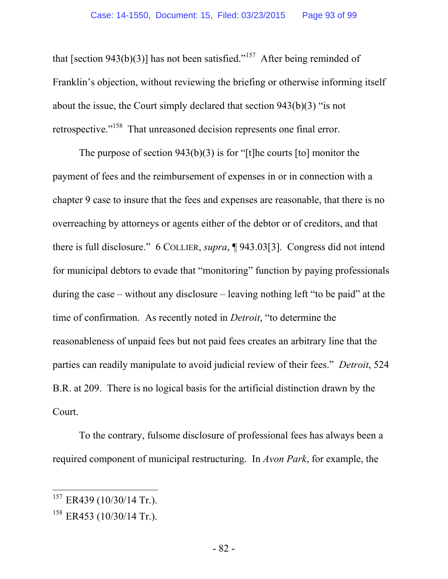that [section 943(b)(3)] has not been satisfied."<sup>157</sup> After being reminded of Franklin's objection, without reviewing the briefing or otherwise informing itself about the issue, the Court simply declared that section 943(b)(3) "is not retrospective."158 That unreasoned decision represents one final error.

The purpose of section  $943(b)(3)$  is for "[t]he courts [to] monitor the payment of fees and the reimbursement of expenses in or in connection with a chapter 9 case to insure that the fees and expenses are reasonable, that there is no overreaching by attorneys or agents either of the debtor or of creditors, and that there is full disclosure." 6 COLLIER, *supra*, ¶ 943.03[3]. Congress did not intend for municipal debtors to evade that "monitoring" function by paying professionals during the case – without any disclosure – leaving nothing left "to be paid" at the time of confirmation. As recently noted in *Detroit*, "to determine the reasonableness of unpaid fees but not paid fees creates an arbitrary line that the parties can readily manipulate to avoid judicial review of their fees." *Detroit*, 524 B.R. at 209.There is no logical basis for the artificial distinction drawn by the Court.

To the contrary, fulsome disclosure of professional fees has always been a required component of municipal restructuring. In *Avon Park*, for example, the

 $157$  ER439 (10/30/14 Tr.).

 $158$  ER453 (10/30/14 Tr.).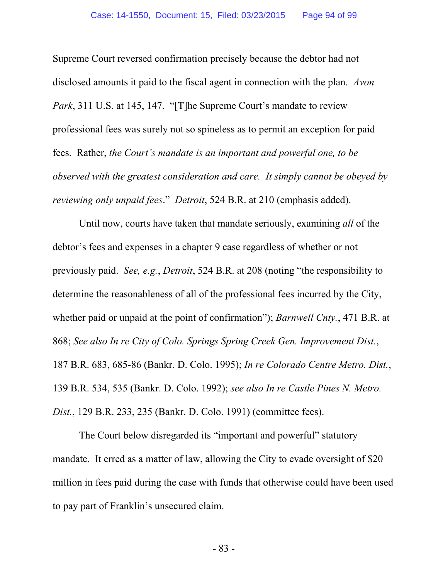Supreme Court reversed confirmation precisely because the debtor had not disclosed amounts it paid to the fiscal agent in connection with the plan. *Avon Park*, 311 U.S. at 145, 147. "[T]he Supreme Court's mandate to review professional fees was surely not so spineless as to permit an exception for paid fees. Rather, *the Court's mandate is an important and powerful one, to be observed with the greatest consideration and care. It simply cannot be obeyed by reviewing only unpaid fees*." *Detroit*, 524 B.R. at 210 (emphasis added).

Until now, courts have taken that mandate seriously, examining *all* of the debtor's fees and expenses in a chapter 9 case regardless of whether or not previously paid. *See, e.g.*, *Detroit*, 524 B.R. at 208 (noting "the responsibility to determine the reasonableness of all of the professional fees incurred by the City, whether paid or unpaid at the point of confirmation"); *Barnwell Cnty.*, 471 B.R. at 868; *See also In re City of Colo. Springs Spring Creek Gen. Improvement Dist.*, 187 B.R. 683, 685-86 (Bankr. D. Colo. 1995); *In re Colorado Centre Metro. Dist.*, 139 B.R. 534, 535 (Bankr. D. Colo. 1992); *see also In re Castle Pines N. Metro. Dist.*, 129 B.R. 233, 235 (Bankr. D. Colo. 1991) (committee fees).

The Court below disregarded its "important and powerful" statutory mandate. It erred as a matter of law, allowing the City to evade oversight of \$20 million in fees paid during the case with funds that otherwise could have been used to pay part of Franklin's unsecured claim.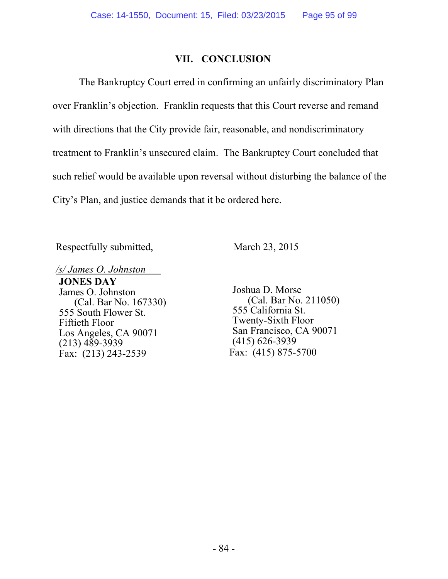### **VII. CONCLUSION**

The Bankruptcy Court erred in confirming an unfairly discriminatory Plan over Franklin's objection. Franklin requests that this Court reverse and remand with directions that the City provide fair, reasonable, and nondiscriminatory treatment to Franklin's unsecured claim. The Bankruptcy Court concluded that such relief would be available upon reversal without disturbing the balance of the City's Plan, and justice demands that it be ordered here.

Respectfully submitted, March 23, 2015

*/s/ James O. Johnston* 

**JONES DAY**  James O. Johnston (Cal. Bar No. 167330) 555 South Flower St. Fiftieth Floor Los Angeles, CA 90071  $(213)$  489-3939 Fax: (213) 243-2539

Joshua D. Morse (Cal. Bar No. 211050) 555 California St. Twenty-Sixth Floor San Francisco, CA 90071 (415) 626-3939 Fax: (415) 875-5700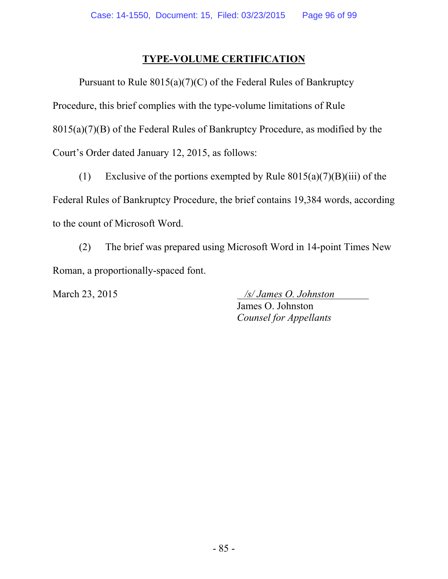## **TYPE-VOLUME CERTIFICATION**

Pursuant to Rule  $8015(a)(7)(C)$  of the Federal Rules of Bankruptcy Procedure, this brief complies with the type-volume limitations of Rule 8015(a)(7)(B) of the Federal Rules of Bankruptcy Procedure, as modified by the Court's Order dated January 12, 2015, as follows:

(1) Exclusive of the portions exempted by Rule  $8015(a)(7)(B)(iii)$  of the Federal Rules of Bankruptcy Procedure, the brief contains 19,384 words, according to the count of Microsoft Word.

(2) The brief was prepared using Microsoft Word in 14-point Times New Roman, a proportionally-spaced font.

March 23, 2015 */s/ James O. Johnston*  James O. Johnston *Counsel for Appellants*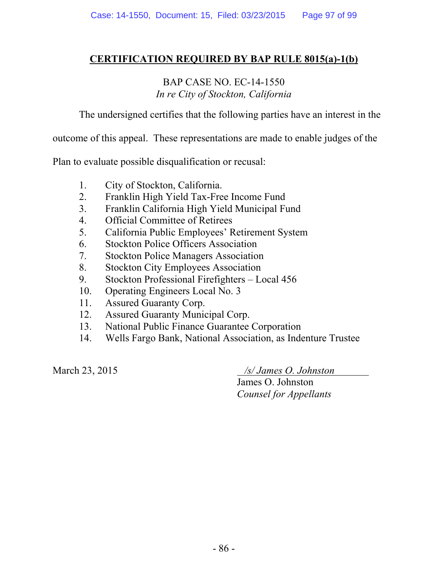### **CERTIFICATION REQUIRED BY BAP RULE 8015(a)-1(b)**

## BAP CASE NO. EC-14-1550 *In re City of Stockton, California*

The undersigned certifies that the following parties have an interest in the

outcome of this appeal. These representations are made to enable judges of the

Plan to evaluate possible disqualification or recusal:

- 1. City of Stockton, California.
- 2. Franklin High Yield Tax-Free Income Fund
- 3. Franklin California High Yield Municipal Fund
- 4. Official Committee of Retirees
- 5. California Public Employees' Retirement System
- 6. Stockton Police Officers Association
- 7. Stockton Police Managers Association
- 8. Stockton City Employees Association
- 9. Stockton Professional Firefighters Local 456
- 10. Operating Engineers Local No. 3
- 11. Assured Guaranty Corp.
- 12. Assured Guaranty Municipal Corp.
- 13. National Public Finance Guarantee Corporation
- 14. Wells Fargo Bank, National Association, as Indenture Trustee

March 23, 2015 */s/ James O. Johnston* 

James O. Johnston *Counsel for Appellants*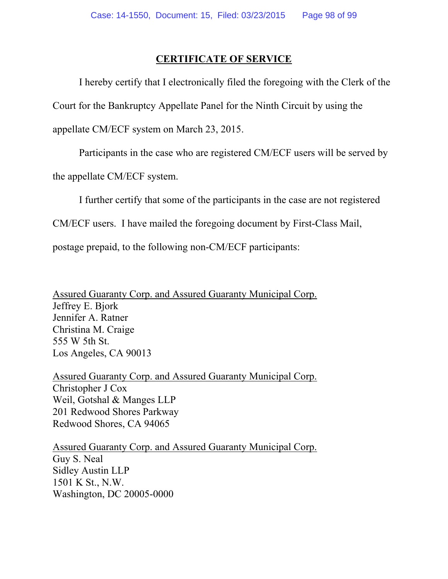#### **CERTIFICATE OF SERVICE**

 I hereby certify that I electronically filed the foregoing with the Clerk of the Court for the Bankruptcy Appellate Panel for the Ninth Circuit by using the appellate CM/ECF system on March 23, 2015.

Participants in the case who are registered CM/ECF users will be served by

the appellate CM/ECF system.

I further certify that some of the participants in the case are not registered

CM/ECF users. I have mailed the foregoing document by First-Class Mail,

postage prepaid, to the following non-CM/ECF participants:

Assured Guaranty Corp. and Assured Guaranty Municipal Corp. Jeffrey E. Bjork Jennifer A. Ratner Christina M. Craige 555 W 5th St. Los Angeles, CA 90013

Assured Guaranty Corp. and Assured Guaranty Municipal Corp. Christopher J Cox Weil, Gotshal & Manges LLP 201 Redwood Shores Parkway Redwood Shores, CA 94065

Assured Guaranty Corp. and Assured Guaranty Municipal Corp. Guy S. Neal Sidley Austin LLP 1501 K St., N.W. Washington, DC 20005-0000